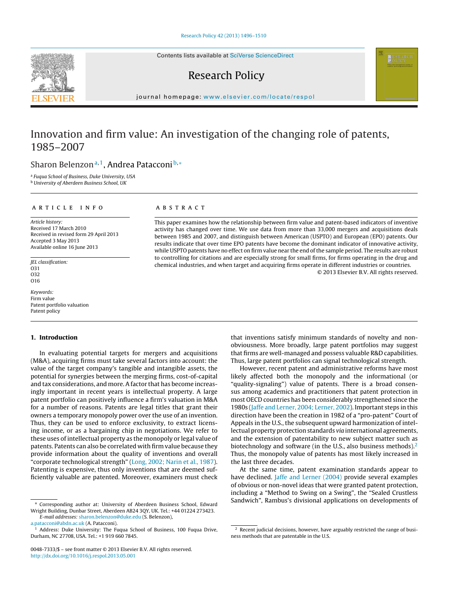Contents lists available at SciVerse [ScienceDirect](http://www.sciencedirect.com/science/journal/00487333)

# Research Policy

jou rnal homepage: [www.elsevier.com/locate/respol](http://www.elsevier.com/locate/respol)

# Innovation and firm value: An investigation of the changing role of patents, 1985–2007

Sharon Belenzon<sup>a,1</sup>, Andrea Patacconi<sup>b,\*</sup>

<sup>a</sup> Fuqua School of Business, Duke University, USA

<sup>b</sup> University of Aberdeen Business School, UK

## a r t i c l e i n f o

Article history: Received 17 March 2010 Received in revised form 29 April 2013 Accepted 3 May 2013 Available online 16 June 2013

JEL classification: O31 O32 O16

Keywords: Firm value Patent portfolio valuation Patent policy

## **1. Introduction**

In evaluating potential targets for mergers and acquisitions (M&A), acquiring firms must take several factors into account: the value of the target company's tangible and intangible assets, the potential for synergies between the merging firms, cost-of-capital and tax considerations, and more. A factor that has become increasingly important in recent years is intellectual property. A large patent portfolio can positively influence a firm's valuation in M&A for a number of reasons. Patents are legal titles that grant their owners a temporary monopoly power over the use of an invention. Thus, they can be used to enforce exclusivity, to extract licensing income, or as a bargaining chip in negotiations. We refer to these uses of intellectual property as the monopoly or legal value of patents. Patents can also be correlated with firm value because they provide information about the quality of inventions and overall "corporate technological strength" ([Long,](#page-14-0) [2002;](#page-14-0) [Narin](#page-14-0) et [al.,](#page-14-0) [1987\).](#page-14-0) Patenting is expensive, thus only inventions that are deemed sufficiently valuable are patented. Moreover, examiners must check

[a.patacconi@abdn.ac.uk](mailto:a.patacconi@abdn.ac.uk) (A. Patacconi).

## A B S T R A C T

This paper examines how the relationship between firm value and patent-based indicators of inventive activity has changed over time. We use data from more than 33,000 mergers and acquisitions deals between 1985 and 2007, and distinguish between American (USPTO) and European (EPO) patents. Our results indicate that over time EPO patents have become the dominant indicator of innovative activity, while USPTO patents have no effect on firm value near the end ofthe sample period. The results are robust to controlling for citations and are especially strong for small firms, for firms operating in the drug and chemical industries, and when target and acquiring firms operate in different industries or countries.

© 2013 Elsevier B.V. All rights reserved.

that inventions satisfy minimum standards of novelty and nonobviousness. More broadly, large patent portfolios may suggest that firms are well-managed and possess valuable R&D capabilities. Thus, large patent portfolios can signal technological strength.

However, recent patent and administrative reforms have most likely affected both the monopoly and the informational (or "quality-signaling") value of patents. There is a broad consensus among academics and practitioners that patent protection in most OECD countries has been considerably strengthened since the 1980s ([Jaffe](#page-14-0) [and](#page-14-0) [Lerner,](#page-14-0) [2004;](#page-14-0) [Lerner,](#page-14-0) [2002\).](#page-14-0) Important steps in this direction have been the creation in 1982 of a "pro-patent" Court of Appeals in the U.S., the subsequent upward harmonization of intellectual property protection standards via international agreements, and the extension of patentability to new subject matter such as biotechnology and software (in the U.S., also business methods).<sup>2</sup> Thus, the monopoly value of patents has most likely increased in the last three decades.

At the same time, patent examination standards appear to have declined. [Jaffe](#page-14-0) [and](#page-14-0) [Lerner](#page-14-0) [\(2004\)](#page-14-0) provide several examples of obvious or non-novel ideas that were granted patent protection, including a "Method to Swing on a Swing", the "Sealed Crustless Sandwich", Rambus's divisional applications on developments of



<sup>∗</sup> Corresponding author at: University of Aberdeen Business School, Edward Wright Building, Dunbar Street, Aberdeen AB24 3QY, UK. Tel.: +44 01224 273423. E-mail addresses: [sharon.belenzon@duke.edu](mailto:sharon.belenzon@duke.edu) (S. Belenzon),

<sup>&</sup>lt;sup>1</sup> Address: Duke University: The Fuqua School of Business, 100 Fuqua Drive, Durham, NC 27708, USA. Tel.: +1 919 660 7845.

<sup>0048-7333/\$</sup> – see front matter © 2013 Elsevier B.V. All rights reserved. [http://dx.doi.org/10.1016/j.respol.2013.05.001](dx.doi.org/10.1016/j.respol.2013.05.001)

<sup>&</sup>lt;sup>2</sup> Recent judicial decisions, however, have arguably restricted the range of business methods that are patentable in the U.S.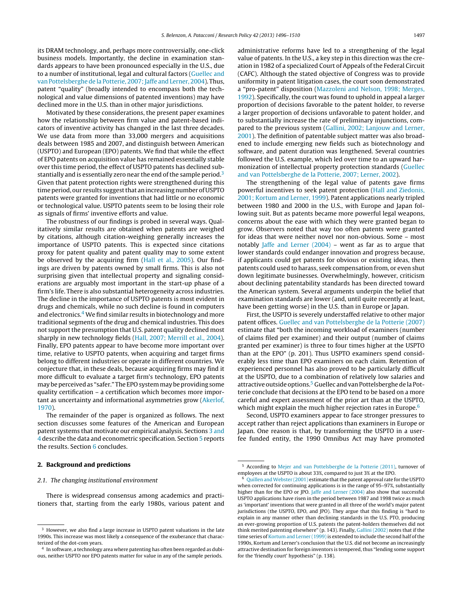its DRAM technology, and, perhaps more controversially, one-click business models. Importantly, the decline in examination standards appears to have been pronounced especially in the U.S., due to a number of institutional, legal and cultural factors ([Guellec](#page-14-0) [and](#page-14-0) [van](#page-14-0) [Pottelsberghe](#page-14-0) [de](#page-14-0) [la](#page-14-0) [Potterie,](#page-14-0) 2007; Jaffe [and](#page-14-0) [Lerner,](#page-14-0) [2004\).](#page-14-0) Thus, patent "quality" (broadly intended to encompass both the technological and value dimensions of patented inventions) may have declined more in the U.S. than in other major jurisdictions.

Motivated by these considerations, the present paper examines how the relationship between firm value and patent-based indicators of inventive activity has changed in the last three decades. We use data from more than 33,000 mergers and acquisitions deals between 1985 and 2007, and distinguish between American (USPTO) and European (EPO) patents. We find that while the effect of EPO patents on acquisition value has remained essentially stable over this time period, the effect of USPTO patents has declined substantially and is essentially zero near the end of the sample period.<sup>3</sup> Given that patent protection rights were strengthened during this time period, our results suggest that an increasing number of USPTO patents were granted for inventions that had little or no economic or technological value. USPTO patents seem to be losing their role as signals of firms' inventive efforts and value.

The robustness of our findings is probed in several ways. Qualitatively similar results are obtained when patents are weighed by citations, although citation-weighing generally increases the importance of USPTO patents. This is expected since citations proxy for patent quality and patent quality may to some extent be observed by the acquiring firm ([Hall](#page-14-0) et [al.,](#page-14-0) [2005\).](#page-14-0) Our findings are driven by patents owned by small firms. This is also not surprising given that intellectual property and signaling considerations are arguably most important in the start-up phase of a firm's life. There is also substantial heterogeneity across industries. The decline in the importance of USPTO patents is most evident in drugs and chemicals, while no such decline is found in computers and electronics. $4$  We find similar results in biotechnology and more traditional segments of the drug and chemical industries. This does not support the presumption that U.S. patent quality declined most sharply in new technology fields ([Hall,](#page-14-0) [2007;](#page-14-0) [Merrill](#page-14-0) et [al.,](#page-14-0) [2004\).](#page-14-0) Finally, EPO patents appear to have become more important over time, relative to USPTO patents, when acquiring and target firms belong to different industries or operate in different countries. We conjecture that, in these deals, because acquiring firms may find it more difficult to evaluate a target firm's technology, EPO patents may be perceived as "safer." The EPO system may be providing some quality certification – a certification which becomes more important as uncertainty and informational asymmetries grow ([Akerlof,](#page-14-0) [1970\).](#page-14-0)

The remainder of the paper is organized as follows. The next section discusses some features of the American and European patent systems that motivate our empirical analysis. Sections [3](#page-3-0) [and](#page-3-0) [4](#page-3-0) describe the data and econometric specification. Section [5](#page-5-0) reports the results. Section [6](#page-9-0) concludes.

## **2. Background and predictions**

#### 2.1. The changing institutional environment

There is widespread consensus among academics and practitioners that, starting from the early 1980s, various patent and administrative reforms have led to a strengthening of the legal value of patents. In the U.S., a key step in this direction was the creation in 1982 of a specialized Court of Appeals of the Federal Circuit (CAFC). Although the stated objective of Congress was to provide uniformity in patent litigation cases, the court soon demonstrated a "pro-patent" disposition ([Mazzoleni](#page-14-0) [and](#page-14-0) [Nelson,](#page-14-0) [1998;](#page-14-0) [Merges,](#page-14-0) [1992\).](#page-14-0) Specifically, the court was found to uphold in appeal a larger proportion of decisions favorable to the patent holder, to reverse a larger proportion of decisions unfavorable to patent holder, and to substantially increase the rate of preliminary injunctions, compared to the previous system ([Gallini,](#page-14-0) [2002;](#page-14-0) [Lanjouw](#page-14-0) [and](#page-14-0) [Lerner,](#page-14-0) [2001\).](#page-14-0) The definition of patentable subject matter was also broadened to include emerging new fields such as biotechnology and software, and patent duration was lengthened. Several countries followed the U.S. example, which led over time to an upward harmonization of intellectual property protection standards [\(Guellec](#page-14-0) [and](#page-14-0) [van](#page-14-0) [Pottelsberghe](#page-14-0) [de](#page-14-0) [la](#page-14-0) [Potterie,](#page-14-0) [2007;](#page-14-0) [Lerner,](#page-14-0) [2002\).](#page-14-0)

The strengthening of the legal value of patents gave firms powerful incentives to seek patent protection ([Hall](#page-14-0) [and](#page-14-0) [Ziedonis,](#page-14-0) [2001;](#page-14-0) [Kortum](#page-14-0) [and](#page-14-0) [Lerner,](#page-14-0) [1999\).](#page-14-0) Patent applications nearly tripled between 1980 and 2000 in the U.S., with Europe and Japan following suit. But as patents became more powerful legal weapons, concerns about the ease with which they were granted began to grow. Observers noted that way too often patents were granted for ideas that were neither novel nor non-obvious. Some – most notably [Jaffe](#page-14-0) [and](#page-14-0) [Lerner](#page-14-0) [\(2004\)](#page-14-0) – went as far as to argue that lower standards could endanger innovation and progress because, if applicants could get patents for obvious or existing ideas, then patents could used to harass, seek compensation from, or even shut down legitimate businesses. Overwhelmingly, however, criticism about declining patentability standards has been directed toward the American system. Several arguments underpin the belief that examination standards are lower (and, until quite recently at least, have been getting worse) in the U.S. than in Europe or Japan.

First, the USPTO is severely understaffed relative to other major patent offices. [Guellec](#page-14-0) [and](#page-14-0) [van](#page-14-0) [Pottelsberghe](#page-14-0) [de](#page-14-0) [la](#page-14-0) [Potterie](#page-14-0) [\(2007\)](#page-14-0) estimate that "both the incoming workload of examiners (number of claims filed per examiner) and their output (number of claims granted per examiner) is three to four times higher at the USPTO than at the EPO" (p. 201). Thus USPTO examiners spend considerably less time than EPO examiners on each claim. Retention of experienced personnel has also proved to be particularly difficult at the USPTO, due to a combination of relatively low salaries and attractive outside options.<sup>5</sup> Guellec and van Pottelsberghe de la Potterie conclude that decisions at the EPO tend to be based on a more careful and expert assessment of the prior art than at the USPTO, which might explain the much higher rejection rates in Europe. $6$ 

Second, USPTO examiners appear to face stronger pressures to accept rather than reject applications than examiners in Europe or Japan. One reason is that, by transforming the USPTO in a userfee funded entity, the 1990 Omnibus Act may have promoted

<sup>&</sup>lt;sup>3</sup> However, we also find a large increase in USPTO patent valuations in the late 1990s. This increase was most likely a consequence of the exuberance that characterized of the dot-com years.

<sup>4</sup> In software, a technology area where patenting has often been regarded as dubious, neither USPTO nor EPO patents matter for value in any of the sample periods.

<sup>5</sup> According to [Mejer](#page-14-0) [and](#page-14-0) [van](#page-14-0) [Pottelsberghe](#page-14-0) [de](#page-14-0) [la](#page-14-0) [Potterie](#page-14-0) [\(2011\),](#page-14-0) turnover of employees at the USPTO is about 33%, compared to just 3% at the EPO.

<sup>&</sup>lt;sup>6</sup> [Quillen](#page-14-0) and Webster [\(2001\)](#page-14-0) estimate that the patent approval rate for the USPTO when corrected for continuing applications is in the range of 95–97%, substantially higher than for the EPO or JPO. [Jaffe](#page-14-0) [and](#page-14-0) [Lerner](#page-14-0) [\(2004\)](#page-14-0) also show that successful USPTO applications have risen in the period between 1987 and 1998 twice as much as 'important' inventions that were granted in all three of the world's major patent jurisdictions (the USPTO, EPO, and JPO). They argue that this finding is "hard to explain in any manner other than declining standards in the U.S. PTO, producing an ever-growing proportion of U.S. patents the patent-holders themselves did not think merited patenting elsewhere" (p. 143). Finally, [Gallini](#page-14-0) [\(2002\)](#page-14-0) notes that if the time series of [Kortum](#page-14-0) [and](#page-14-0) [Lerner](#page-14-0) (1999) is extended to include the second half of the 1990s, Kortum and Lerner's conclusion that the U.S. did not become an increasingly attractive destination for foreign inventors is tempered, thus "lending some support for the 'friendly court' hypothesis" (p. 138).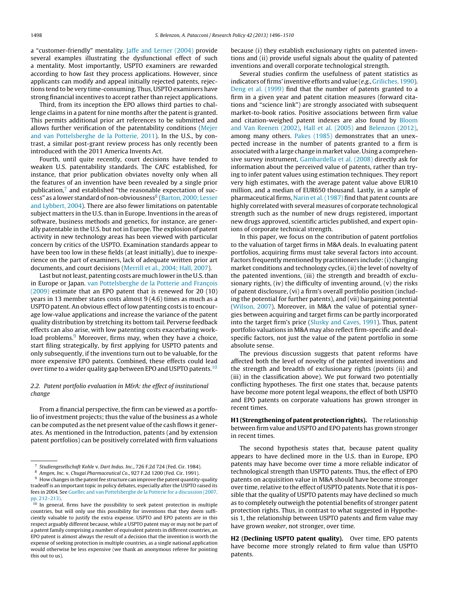a "customer-friendly" mentality. [Jaffe](#page-14-0) [and](#page-14-0) [Lerner](#page-14-0) [\(2004\)](#page-14-0) provide several examples illustrating the dysfunctional effect of such a mentality. Most importantly, USPTO examiners are rewarded according to how fast they process applications. However, since applicants can modify and appeal initially rejected patents, rejections tend to be very time-consuming. Thus, USPTO examiners have strong financial incentives to accept rather than reject applications.

Third, from its inception the EPO allows third parties to challenge claims in a patent for nine months after the patent is granted. This permits additional prior art references to be submitted and allows further verification of the patentability conditions ([Mejer](#page-14-0) [and](#page-14-0) [van](#page-14-0) [Pottelsberghe](#page-14-0) [de](#page-14-0) [la](#page-14-0) [Potterie,](#page-14-0) [2011\).](#page-14-0) In the U.S., by contrast, a similar post-grant review process has only recently been introduced with the 2011 America Invents Act.

Fourth, until quite recently, court decisions have tended to weaken U.S. patentability standards. The CAFC established, for instance, that prior publication obviates novelty only when all the features of an invention have been revealed by a single prior publication,<sup>7</sup> and established "the reasonable expectation of suc-cess" as a lower standard of non-obviousness<sup>8</sup> ([Barton,](#page-14-0) [2000;](#page-14-0) [Lesser](#page-14-0) [and](#page-14-0) [Lybbert,](#page-14-0) [2004\).](#page-14-0) There are also fewer limitations on patentable subject matters in the U.S. than in Europe. Inventions in the areas of software, business methods and genetics, for instance, are generally patentable in the U.S. but not in Europe. The explosion of patent activity in new technology areas has been viewed with particular concern by critics of the USPTO. Examination standards appear to have been too low in these fields (at least initially), due to inexperience on the part of examiners, lack of adequate written prior art documents, and court decisions [\(Merrill](#page-14-0) et [al.,](#page-14-0) [2004;](#page-14-0) [Hall,](#page-14-0) [2007\).](#page-14-0)

Last but not least, patenting costs are much lower in the U.S. than in Europe or Japan. [van](#page-14-0) [Pottelsberghe](#page-14-0) [de](#page-14-0) [la](#page-14-0) [Potterie](#page-14-0) [and](#page-14-0) François [\(2009\)](#page-14-0) estimate that an EPO patent that is renewed for 20 (10) years in 13 member states costs almost 9 (4.6) times as much as a USPTO patent. An obvious effect of low patenting costs is to encourage low-value applications and increase the variance of the patent quality distribution by stretching its bottom tail. Perverse feedback effects can also arise, with low patenting costs exacerbating workload problems. $9$  Moreover, firms may, when they have a choice, start filing strategically, by first applying for USPTO patents and only subsequently, if the inventions turn out to be valuable, for the more expensive EPO patents. Combined, these effects could lead over time to a wider quality gap between EPO and USPTO patents.<sup>10</sup>

# 2.2. Patent portfolio evaluation in M&A: the effect of institutional change

From a financial perspective, the firm can be viewed as a portfolio of investment projects; thus the value of the business as a whole can be computed as the net present value of the cash flows it generates. As mentioned in the Introduction, patents (and by extension patent portfolios) can be positively correlated with firm valuations because (i) they establish exclusionary rights on patented inventions and (ii) provide useful signals about the quality of patented inventions and overall corporate technological strength.

Several studies confirm the usefulness of patent statistics as indicators of firms' inventive efforts and value (e.g., [Griliches,](#page-14-0) [1990\).](#page-14-0) [Deng](#page-14-0) et [al.](#page-14-0) [\(1999\)](#page-14-0) find that the number of patents granted to a firm in a given year and patent citation measures (forward citations and "science link") are strongly associated with subsequent market-to-book ratios. Positive associations between firm value and citation-weighed patent indexes are also found by [Bloom](#page-14-0) [and](#page-14-0) [Van](#page-14-0) [Reenen](#page-14-0) [\(2002\),](#page-14-0) [Hall](#page-14-0) et [al.](#page-14-0) [\(2005\)](#page-14-0) and [Belenzon](#page-14-0) [\(2012\),](#page-14-0) among many others. [Pakes](#page-14-0) [\(1985\)](#page-14-0) demonstrates that an unexpected increase in the number of patents granted to a firm is associated with a large change in market value. Using a comprehensive survey instrument, [Gambardella](#page-14-0) et [al.](#page-14-0) [\(2008\)](#page-14-0) directly ask for information about the perceived value of patents, rather than trying to infer patent values using estimation techniques. They report very high estimates, with the average patent value above EUR10 million, and a median of EUR650 thousand. Lastly, in a sample of pharmaceutical firms, [Narin](#page-14-0) et [al.\(1987\)](#page-14-0) find that patent counts are highly correlated with several measures of corporate technological strength such as the number of new drugs registered, important new drugs approved, scientific articles published, and expert opinions of corporate technical strength.

In this paper, we focus on the contribution of patent portfolios to the valuation of target firms in M&A deals. In evaluating patent portfolios, acquiring firms must take several factors into account. Factors frequently mentioned by practitioners include:(i) changing market conditions and technology cycles, (ii) the level of novelty of the patented inventions, (iii) the strength and breadth of exclusionary rights, (iv) the difficulty of inventing around,  $(v)$  the risks of patent disclosure, (vi) a firm's overall portfolio position (including the potential for further patents), and (vii) bargaining potential [\(Wilson,](#page-14-0) [2007\).](#page-14-0) Moreover, in M&A the value of potential synergies between acquiring and target firms can be partly incorporated into the target firm's price [\(Slusky](#page-14-0) [and](#page-14-0) [Caves,](#page-14-0) [1991\).](#page-14-0) Thus, patent portfolio valuations in M&A may also reflect firm-specific and dealspecific factors, not just the value of the patent portfolio in some absolute sense.

The previous discussion suggests that patent reforms have affected both the level of novelty of the patented inventions and the strength and breadth of exclusionary rights (points (ii) and (iii) in the classification above). We put forward two potentially conflicting hypotheses. The first one states that, because patents have become more potent legal weapons, the effect of both USPTO and EPO patents on corporate valuations has grown stronger in recent times.

**H1 (Strengtheningofpatentprotectionrights).** The relationship between firm value and USPTO and EPO patents has grown stronger in recent times.

The second hypothesis states that, because patent quality appears to have declined more in the U.S. than in Europe, EPO patents may have become over time a more reliable indicator of technological strength than USPTO patents. Thus, the effect of EPO patents on acquisition value in M&A should have become stronger over time, relative to the effect of USPTO patents. Note that it is possible that the quality of USPTO patents may have declined so much as to completely outweigh the potential benefits of stronger patent protection rights. Thus, in contrast to what suggested in Hypothesis 1, the relationship between USPTO patents and firm value may have grown weaker, not stronger, over time.

**H2 (Declining USPTO patent quality).** Over time, EPO patents have become more strongly related to firm value than USPTO patents.

<sup>7</sup> Studiengesellschaft Kohle v. Dart Indus. Inc., 726 F.2d 724 (Fed. Cir. 1984).

<sup>8</sup> Amgen, Inc. v. Chugai Pharmaceutical Co., 927 F.2d 1200 (Fed. Cir. 1991).

 $9\,$  How changes in the patent fee structure can improve the patent quantity-quality tradeoff is an important topic in policy debates, especially after the USPTO raised its fees in 2004. See [Guellec](#page-14-0) [and](#page-14-0) [van](#page-14-0) [Pottelsberghe](#page-14-0) [de](#page-14-0) [la](#page-14-0) [Potterie](#page-14-0) [for](#page-14-0) a [discussion](#page-14-0) [\(2007,](#page-14-0)

[pp.](#page-14-0) [212–213\).](#page-14-0)<br><sup>10</sup> In general, firms have the possibility to seek patent protection in multiple countries, but will only use this possibility for inventions that they deem sufficiently valuable to justify the extra expense. USPTO and EPO patents are in this respect arguably different because, while a USPTO patent may or may not be part of a patent family comprising a number of equivalent patents in different countries, an EPO patent is almost always the result of a decision that the invention is worth the expense of seeking protection in multiple countries, as a single national application would otherwise be less expensive (we thank an anonymous referee for pointing this out to us).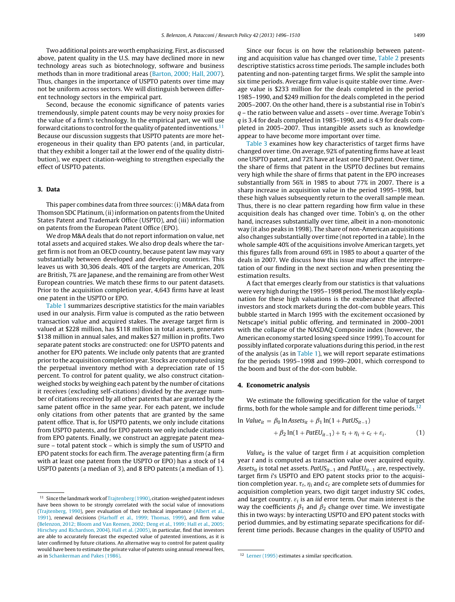<span id="page-3-0"></span>Two additional points are worth emphasizing. First, as discussed above, patent quality in the U.S. may have declined more in new technology areas such as biotechnology, software and business methods than in more traditional areas [\(Barton,](#page-14-0) [2000;](#page-14-0) [Hall,](#page-14-0) [2007\).](#page-14-0) Thus, changes in the importance of USPTO patents over time may not be uniform across sectors. We will distinguish between different technology sectors in the empirical part.

Second, because the economic significance of patents varies tremendously, simple patent counts may be very noisy proxies for the value of a firm's technology. In the empirical part, we will use forward citations to control for the quality of patented inventions.<sup>11</sup> Because our discussion suggests that USPTO patents are more heterogeneous in their quality than EPO patents (and, in particular, that they exhibit a longer tail at the lower end of the quality distribution), we expect citation-weighing to strengthen especially the effect of USPTO patents.

# **3. Data**

This paper combines data from three sources:(i) M&A data from Thomson SDC Platinum, (ii) information on patents from the United States Patent and Trademark Office (USPTO), and (iii) information on patents from the European Patent Office (EPO).

We drop M&A deals that do not report information on value, net total assets and acquired stakes. We also drop deals where the target firm is not from an OECD country, because patent law may vary substantially between developed and developing countries. This leaves us with 30,306 deals. 40% of the targets are American, 20% are British, 7% are Japanese, and the remaining are from other West European countries. We match these firms to our patent datasets. Prior to the acquisition completion year, 4,643 firms have at least one patent in the USPTO or EPO.

[Table](#page-4-0) 1 summarizes descriptive statistics for the main variables used in our analysis. Firm value is computed as the ratio between transaction value and acquired stakes. The average target firm is valued at \$228 million, has \$118 million in total assets, generates \$138 million in annual sales, and makes \$27 million in profits. Two separate patent stocks are constructed: one for USPTO patents and another for EPO patents. We include only patents that are granted prior to the acquisition completion year. Stocks are computed using the perpetual inventory method with a depreciation rate of 15 percent. To control for patent quality, we also construct citationweighed stocks by weighing each patent by the number of citations it receives (excluding self-citations) divided by the average number of citations received by all other patents that are granted by the same patent office in the same year. For each patent, we include only citations from other patents that are granted by the same patent office. That is, for USPTO patents, we only include citations from USPTO patents, and for EPO patents we only include citations from EPO patents. Finally, we construct an aggregate patent measure – total patent stock – which is simply the sum of USPTO and EPO patent stocks for each firm. The average patenting firm (a firm with at least one patent from the USPTO or EPO) has a stock of 14 USPTO patents (a median of 3), and 8 EPO patents (a median of 1).

Since our focus is on how the relationship between patenting and acquisition value has changed over time, [Table](#page-4-0) 2 presents descriptive statistics across time periods. The sample includes both patenting and non-patenting target firms. We split the sample into six time periods. Average firm value is quite stable over time. Average value is \$233 million for the deals completed in the period 1985–1990, and \$249 million for the deals completed in the period 2005–2007. On the other hand, there is a substantial rise in Tobin's  $q$  – the ratio between value and assets – over time. Average Tobin's q is 3.4 for deals completed in 1985–1990, and is 4.9 for deals completed in 2005–2007. Thus intangible assets such as knowledge appear to have become more important over time.

[Table](#page-4-0) 3 examines how key characteristics of target firms have changed over time. On average, 92% of patenting firms have at least one USPTO patent, and 72% have at least one EPO patent. Over time, the share of firms that patent in the USPTO declines but remains very high while the share of firms that patent in the EPO increases substantially from 56% in 1985 to about 77% in 2007. There is a sharp increase in acquisition value in the period 1995–1998, but these high values subsequently return to the overall sample mean. Thus, there is no clear pattern regarding how firm value in these acquisition deals has changed over time. Tobin's  $q$ , on the other hand, increases substantially over time, albeit in a non-monotonic way (it also peaks in 1998). The share of non-American acquisitions also changes substantially over time (not reported in a table). In the whole sample 40% of the acquisitions involve American targets, yet this figures falls from around 69% in 1985 to about a quarter of the deals in 2007. We discuss how this issue may affect the interpretation of our finding in the next section and when presenting the estimation results.

A fact that emerges clearly from our statistics is that valuations were very high during the 1995–1998 period. The most likely explanation for these high valuations is the exuberance that affected investors and stock markets during the dot-com bubble years. This bubble started in March 1995 with the excitement occasioned by Netscape's initial public offering, and terminated in 2000–2001 with the collapse of the NASDAQ Composite index (however, the American economy started losing speed since 1999). To account for possibly inflated corporate valuations during this period, in the rest of the analysis (as in [Table](#page-4-0) 1), we will report separate estimations for the periods 1995–1998 and 1999–2001, which correspond to the boom and bust of the dot-com bubble.

## **4. Econometric analysis**

We estimate the following specification for the value of target firms, both for the whole sample and for different time periods.<sup>12</sup>

$$
\ln Value_{it} = \beta_0 \ln Assets_{it} + \beta_1 \ln(1 + PatUS_{it-1})
$$

$$
+ \beta_2 \ln(1 + PatUU_{it-1}) + \tau_t + \eta_i + c_c + \varepsilon_i.
$$
 (1)

Value $_{it}$  is the value of target firm  $i$  at acquisition completion year  $t$  and is computed as transaction value over acquired equity. Assets<sub>it</sub> is total net assets. PatUS<sub>it−1</sub> and PatEU<sub>it−1</sub> are, respectively, target firm i's USPTO and EPO patent stocks prior to the acquisition completion year.  $\tau_t$ ,  $\eta_i$  and  $c_c$  are complete sets of dummies for acquisition completion years, two digit target industry SIC codes, and target country.  $\varepsilon_i$  is an iid error term. Our main interest is the way the coefficients  $\beta_1$  and  $\beta_2$  change over time. We investigate this in two ways: by interacting USPTO and EPO patent stocks with period dummies, and by estimating separate specifications for different time periods. Because changes in the quality of USPTO and

 $^{\rm 11}\,$  Since the landmark work of [Trajtenberg](#page-14-0) [\(1990\),](#page-14-0) citation-weighed patent indexes have been shown to be strongly correlated with the social value of innovations [\(Trajtenberg,](#page-14-0) [1990\),](#page-14-0) peer evaluation of their technical importance ([Albert](#page-14-0) et [al.,](#page-14-0) [1991\),](#page-14-0) renewal decisions [\(Harhoff](#page-14-0) et [al.,](#page-14-0) [1999;](#page-14-0) [Thomas,](#page-14-0) [1999\),](#page-14-0) and firm value [\(Belenzon,](#page-14-0) [2012;](#page-14-0) [Bloom](#page-14-0) [and](#page-14-0) [Van](#page-14-0) [Reenen,](#page-14-0) [2002;](#page-14-0) [Deng](#page-14-0) et [al.,](#page-14-0) [1999;](#page-14-0) [Hall](#page-14-0) et [al.,](#page-14-0) [2005;](#page-14-0) [Hirschey](#page-14-0) [and](#page-14-0) [Richardson,](#page-14-0) [2004\).](#page-14-0) [Hall](#page-14-0) et [al.](#page-14-0) [\(2005\),](#page-14-0) in particular, find that investors are able to accurately forecast the expected value of patented inventions, as it is later confirmed by future citations. An alternative way to control for patent quality would have been to estimate the private value of patents using annual renewal fees, as in [Schankerman](#page-14-0) [and](#page-14-0) [Pakes](#page-14-0) [\(1986\).](#page-14-0)

<sup>12</sup> [Lerner](#page-14-0) [\(1995\)](#page-14-0) estimates a similar specification.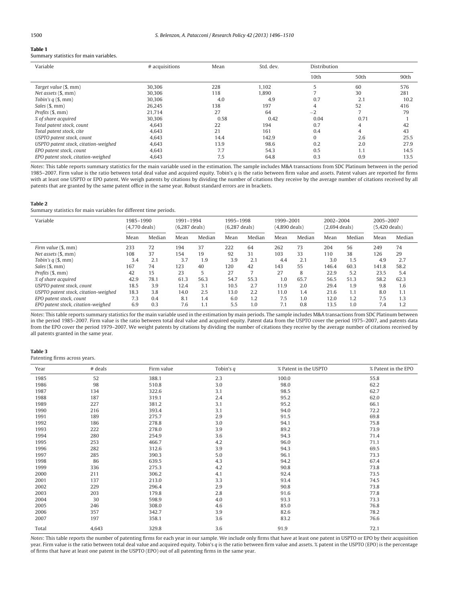#### <span id="page-4-0"></span>**Table 1** Summary statistics for main variables.

| Variable                             | # acquisitions | Mean | Std. dev. | Distribution |                |      |
|--------------------------------------|----------------|------|-----------|--------------|----------------|------|
|                                      |                |      |           | 10th         | 50th           | 90th |
| Target value (\$, mm)                | 30,306         | 228  | 1,102     |              | 60             | 576  |
| Net assets (\$, mm)                  | 30.306         | 118  | 1,890     |              | 30             | 281  |
| Tobin's $q(S, \text{mm})$            | 30.306         | 4.0  | 4.9       | 0.7          | 2.1            | 10.2 |
| Sales (\$, mm)                       | 26.245         | 138  | 197       | 4            | 52             | 416  |
| Profits (\$, mm)                     | 21,714         | 27   | 64        | $-2$         | $\overline{ }$ | 79   |
| % of share acquired                  | 30,306         | 0.58 | 0.42      | 0.04         | 0.71           |      |
| Total patent stock, count            | 4.643          | 22   | 194       | 0.7          | 4              | 42   |
| Total patent stock, cite             | 4,643          | 21   | 161       | 0.4          | 4              | 43   |
| USPTO patent stock, count            | 4,643          | 14.4 | 142.9     | $\Omega$     | 2.6            | 25.5 |
| USPTO patent stock, citation-weighed | 4,643          | 13.9 | 98.6      | 0.2          | 2.0            | 27.9 |
| EPO patent stock, count              | 4,643          | 7.7  | 54.3      | 0.5          | 1.1            | 14.5 |
| EPO patent stock, citation-weighed   | 4,643          | 7.5  | 64.8      | 0.3          | 0.9            | 13.5 |

Notes: This table reports summary statistics for the main variable used in the estimation. The sample includes M&A transactions from SDC Platinum between in the period 1985–2007. Firm value is the ratio between total deal value and acquired equity. Tobin's q is the ratio between firm value and assets. Patent values are reported for firms with at least one USPTO or EPO patent. We weigh patents by citations by dividing the number of citations they receive by the average number of citations received by all patents that are granted by the same patent office in the same year. Robust standard errors are in brackets.

#### **Table 2**

Summary statistics for main variables for different time periods.

| Variable                             | 1985-1990<br>(4.770 deals) |        | 1991-1994<br>$(6,287$ deals) |        | 1995-1998<br>$(6,287$ deals) |        | 1999-2001<br>(4,890 deals) |        | 2002-2004<br>$(2.694$ deals) |        | 2005-2007<br>$(5,420$ deals) |        |
|--------------------------------------|----------------------------|--------|------------------------------|--------|------------------------------|--------|----------------------------|--------|------------------------------|--------|------------------------------|--------|
|                                      | Mean                       | Median | Mean                         | Median | Mean                         | Median | Mean                       | Median | Mean                         | Median | Mean                         | Median |
| Firm value (\$, mm)                  | 233                        | 72     | 194                          | 37     | 222                          | 64     | 262                        | 73     | 204                          | 56     | 249                          | 74     |
| Net assets (\$, mm)                  | 108                        | 37     | 154                          | 19     | 92                           | 31     | 103                        | 33     | 110                          | 38     | 126                          | 29     |
| Tobin's $q$ (\$, mm)                 | 3.4                        | 2.1    | 3.7                          | 1.9    | 3.9                          | 2.1    | 4.4                        | 2.1    | 3.0                          | 1.5    | 4.9                          | 2.7    |
| Sales (\$, mm)                       | 167                        | 74     | 123                          | 40     | 120                          | 42     | 143                        | 55     | 146.4                        | 60.3   | 141.8                        | 58.2   |
| Profits (\$, mm)                     | 42                         | 15     | 23                           | 5      | 27                           |        | 27                         | 8      | 22.9                         | 5.2    | 23.5                         | 5.4    |
| % of share acquired                  | 42.9                       | 78.1   | 61.3                         | 56.3   | 54.7                         | 55.3   | 1.0                        | 65.7   | 56.5                         | 51.3   | 58.2                         | 62.3   |
| USPTO patent stock, count            | 18.5                       | 3.9    | 12.4                         | 3.1    | 10.5                         | 2.7    | 11.9                       | 2.0    | 29.4                         | 1.9    | 9.8                          | 1.6    |
| USPTO patent stock, citation-weighed | 18.3                       | 3.8    | 14.0                         | 2.5    | 13.0                         | 2.2    | 11.0                       | 1.4    | 21.6                         | 1.1    | 8.0                          | 1.1    |
| EPO patent stock, count              | 7.3                        | 0.4    | 8.1                          | 1.4    | 6.0                          | 1.2    | 7.5                        | 1.0    | 12.0                         | 1.2    | 7.5                          | 1.3    |
| EPO patent stock, citation-weighed   | 6.9                        | 0.3    | 7.6                          | 1.1    | 5.5                          | 1.0    | 7.1                        | 0.8    | 13.5                         | 1.0    | 7.4                          | 1.2    |

Notes: This table reports summary statistics for the main variable used in the estimation by main periods. The sample includes M&A transactions from SDC Platinum between in the period 1985–2007. Firm value is the ratio between total deal value and acquired equity. Patent data from the USPTO cover the period 1975–2007, and patents data from the EPO cover the period 1979–2007. We weight patents by citations by dividing the number of citations they receive by the average number of citations received by all patents granted in the same year.

## **Table 3**

Patenting firms across years.

| Year  | # deals | Firm value | Tobin's $q$ | % Patent in the USPTO | % Patent in the EPO |
|-------|---------|------------|-------------|-----------------------|---------------------|
| 1985  | 52      | 388.1      | 2.3         | 100.0                 | 55.8                |
| 1986  | 98      | 510.8      | 3.0         | 98.0                  | 62.2                |
| 1987  | 134     | 322.6      | 3.1         | 98.5                  | 62.7                |
| 1988  | 187     | 319.1      | 2.4         | 95.2                  | 62.0                |
| 1989  | 227     | 381.2      | 3.1         | 95.2                  | 66.1                |
| 1990  | 216     | 393.4      | 3.1         | 94.0                  | 72.2                |
| 1991  | 189     | 275.7      | 2.9         | 91.5                  | 69.8                |
| 1992  | 186     | 278.8      | 3.0         | 94.1                  | 75.8                |
| 1993  | 222     | 278.0      | 3.9         | 89.2                  | 73.9                |
| 1994  | 280     | 254.9      | 3.6         | 94.3                  | 71.4                |
| 1995  | 253     | 466.7      | 4.2         | 96.0                  | 71.1                |
| 1996  | 282     | 312.6      | 3.9         | 94.3                  | 69.5                |
| 1997  | 285     | 390.3      | 5.0         | 96.1                  | 73.3                |
| 1998  | 86      | 639.5      | 4.3         | 94.2                  | 67.4                |
| 1999  | 336     | 275.3      | 4.2         | 90.8                  | 73.8                |
| 2000  | 211     | 306.2      | 4.1         | 92.4                  | 73.5                |
| 2001  | 137     | 213.0      | 3.3         | 93.4                  | 74.5                |
| 2002  | 229     | 296.4      | 2.9         | 90.8                  | 73.8                |
| 2003  | 203     | 179.8      | 2.8         | 91.6                  | 77.8                |
| 2004  | 30      | 598.9      | 4.0         | 93.3                  | 73.3                |
| 2005  | 246     | 308.0      | 4.6         | 85.0                  | 76.8                |
| 2006  | 357     | 342.7      | 3.9         | 82.6                  | 78.2                |
| 2007  | 197     | 358.1      | 3.6         | 83.2                  | 76.6                |
| Total | 4,643   | 329.8      | 3.6         | 91.9                  | 72.1                |

Notes: This table reports the number of patenting firms for each year in our sample. We include only firms that have at least one patent in USPTO or EPO by their acquisition year. Firm value is the ratio between total deal value and acquired equity. Tobin's q is the ratio between firm value and assets. % patent in the USPTO (EPO) is the percentage of firms that have at least one patent in the USPTO (EPO) out of all patenting firms in the same year.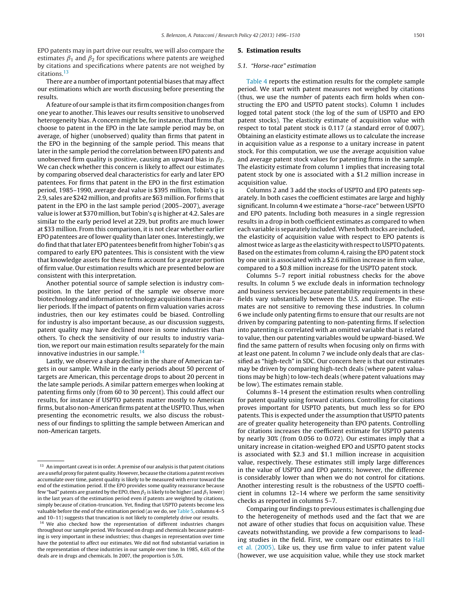<span id="page-5-0"></span>EPO patents may in part drive our results, we will also compare the estimates  $\beta_1$  and  $\beta_2$  for specifications where patents are weighed by citations and specifications where patents are not weighed by citations.13

There are a number of important potential biases that may affect our estimations which are worth discussing before presenting the results.

Afeature of our sample is thatits firm composition changes from one year to another. This leaves our results sensitive to unobserved heterogeneity bias. A concern might be, for instance, that firms that choose to patent in the EPO in the late sample period may be, on average, of higher (unobserved) quality than firms that patent in the EPO in the beginning of the sample period. This means that later in the sample period the correlation between EPO patents and unobserved firm quality is positive, causing an upward bias in  $\beta_2$ . We can check whether this concern is likely to affect our estimates by comparing observed deal characteristics for early and later EPO patentees. For firms that patent in the EPO in the first estimation period, 1985–1990, average deal value is \$395 million, Tobin's q is 2.9, sales are \$242 million, and profits are \$63 million. For firms that patent in the EPO in the last sample period (2005–2007), average value is lower at \$370 million, but Tobin's  $q$  is higher at 4.2. Sales are similar to the early period level at 229, but profits are much lower at \$33 million. From this comparison, it is not clear whether earlier EPO patentees are of lower quality than later ones. Interestingly, we do find that that later EPO patentees benefit from higher Tobin's  $q$  as compared to early EPO patentees. This is consistent with the view that knowledge assets for these firms account for a greater portion of firm value. Our estimation results which are presented below are consistent with this interpretation.

Another potential source of sample selection is industry composition. In the later period of the sample we observe more biotechnology and information technology acquisitions than in earlier periods. If the impact of patents on firm valuation varies across industries, then our key estimates could be biased. Controlling for industry is also important because, as our discussion suggests, patent quality may have declined more in some industries than others. To check the sensitivity of our results to industry variation, we report our main estimation results separately for the main innovative industries in our sample.<sup>14</sup>

Lastly, we observe a sharp decline in the share of American targets in our sample. While in the early periods about 50 percent of targets are American, this percentage drops to about 20 percent in the late sample periods. A similar pattern emerges when looking at patenting firms only (from 60 to 30 percent). This could affect our results, for instance if USPTO patents matter mostly to American firms, but also non-American firms patent at the USPTO. Thus, when presenting the econometric results, we also discuss the robustness of our findings to splitting the sample between American and non-American targets.

#### **5. Estimation results**

### 5.1. "Horse-race" estimation

[Table](#page-6-0) 4 reports the estimation results for the complete sample period. We start with patent measures not weighed by citations (thus, we use the number of patents each firm holds when constructing the EPO and USPTO patent stocks). Column 1 includes logged total patent stock (the log of the sum of USPTO and EPO patent stocks). The elasticity estimate of acquisition value with respect to total patent stock is 0.117 (a standard error of 0.007). Obtaining an elasticity estimate allows us to calculate the increase in acquisition value as a response to a unitary increase in patent stock. For this computation, we use the average acquisition value and average patent stock values for patenting firms in the sample. The elasticity estimate from column 1 implies that increasing total patent stock by one is associated with a \$1.2 million increase in acquisition value.

Columns 2 and 3 add the stocks of USPTO and EPO patents separately. In both cases the coefficient estimates are large and highly significant. In column 4 we estimate a "horse-race" between USPTO and EPO patents. Including both measures in a single regression results in a drop in both coefficient estimates as compared to when each variable is separately included. When both stocks are included, the elasticity of acquisition value with respect to EPO patents is almost twice as large as the elasticity with respect to USPTO patents. Based on the estimates from column 4, raising the EPO patent stock by one unit is associated with a \$2.6 million increase in firm value, compared to a \$0.8 million increase for the USPTO patent stock.

Columns 5–7 report initial robustness checks for the above results. In column 5 we exclude deals in information technology and business services because patentability requirements in these fields vary substantially between the U.S. and Europe. The estimates are not sensitive to removing these industries. In column 6 we include only patenting firms to ensure that our results are not driven by comparing patenting to non-patenting firms. If selection into patenting is correlated with an omitted variable that is related to value, then our patenting variables would be upward-biased. We find the same pattern of results when focusing only on firms with at least one patent. In column 7 we include only deals that are classified as "high-tech" in SDC. Our concern here is that our estimates may be driven by comparing high-tech deals (where patent valuations may be high) to low-tech deals (where patent valuations may be low). The estimates remain stable.

Columns 8–14 present the estimation results when controlling for patent quality using forward citations. Controlling for citations proves important for USPTO patents, but much less so for EPO patents. This is expected under the assumption that USPTO patents are of greater quality heterogeneity than EPO patents. Controlling for citations increases the coefficient estimate for USPTO patents by nearly 30% (from 0.056 to 0.072). Our estimates imply that a unitary increase in citation-weighed EPO and USPTO patent stocks is associated with \$2.3 and \$1.1 million increase in acquisition value, respectively. These estimates still imply large differences in the value of USPTO and EPO patents; however, the difference is considerably lower than when we do not control for citations. Another interesting result is the robustness of the USPTO coefficient in columns 12–14 where we perform the same sensitivity checks as reported in columns 5–7.

Comparing our findings to previous estimates is challenging due to the heterogeneity of methods used and the fact that we are not aware of other studies that focus on acquisition value. These caveats notwithstanding, we provide a few comparisons to leading studies in the field. First, we compare our estimates to [Hall](#page-14-0) et [al.](#page-14-0) [\(2005\).](#page-14-0) Like us, they use firm value to infer patent value (however, we use acquisition value, while they use stock market

<sup>&</sup>lt;sup>13</sup> An important caveat is in order. A premise of our analysis is that patent citations are a useful proxy for patent quality. However, because the citations a patent receives accumulate over time, patent quality is likely to be measured with error toward the end of the estimation period. If the EPO provides some quality reassurance because few "bad" patents are granted by the EPO, then  $\beta_2$  is likely to be higher (and  $\beta_1$  lower) in the last years of the estimation period even if patents are weighted by citations, simply because of citation-truncation. Yet, finding that USPTO patents become less valuable before the end of the estimation period (as we do, see [Table](#page-8-0) 5, columns 4–5 and 10–11) suggests that truncation is not likely to completely drive our results.

<sup>&</sup>lt;sup>14</sup> We also checked how the representation of different industries changes throughout our sample period. We focused on drugs and chemicals because patenting is very important in these industries; thus changes in representation over time have the potential to affect our estimates. We did not find substantial variation in the representation of these industries in our sample over time. In 1985, 4.6% of the deals are in drugs and chemicals. In 2007, the proportion is 5.0%.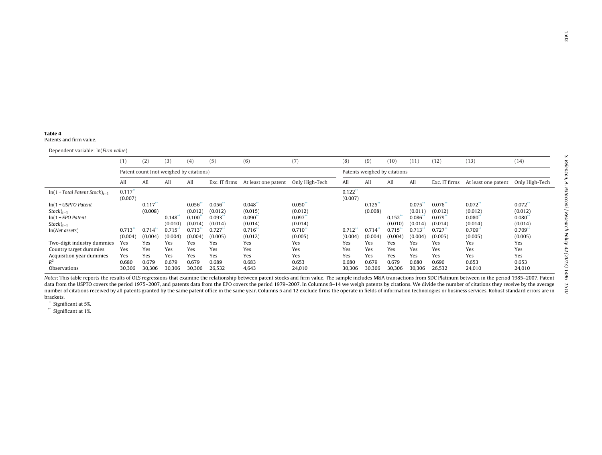# <span id="page-6-0"></span>Patents and firm value.

| Dependent variable: ln(Firm value)    |                       |                                         |         |          |               |                     |                |                       |                              |            |         |                      |                      |                   |
|---------------------------------------|-----------------------|-----------------------------------------|---------|----------|---------------|---------------------|----------------|-----------------------|------------------------------|------------|---------|----------------------|----------------------|-------------------|
|                                       | (1)                   | (2)                                     | (3)     | (4)      | (5)           | (6)                 | (7)            | (8)                   | (9)                          | (10)       | (11)    | (12)                 | (13)                 | (14)              |
|                                       |                       | Patent count (not weighed by citations) |         |          |               |                     |                |                       | Patents weighed by citations |            |         |                      |                      |                   |
|                                       | All                   | All                                     | All     | All      | Exc. IT firms | At least one patent | Only High-Tech | All                   | All                          | All        | All     | Exc. IT firms        | At least one patent  | Only High-Tech    |
| $ln(1 + Total$ Patent Stock $)_{t-1}$ | $0.117$ **<br>(0.007) |                                         |         |          |               |                     |                | $0.122$ **<br>(0.007) |                              |            |         |                      |                      |                   |
| $ln(1 + USPTO$ Patent                 |                       | 0.117                                   |         | $0.056*$ | $0.056*$      | 0.048               | $0.050^*$      |                       | 0.125                        |            | 0.075   | 0.076                | $0.072$ <sup>*</sup> | 0.072             |
| $Stock)_{t-1}$                        |                       | (0.008)                                 |         | (0.012)  | (0.012)       | (0.015)             | (0.012)        |                       | (0.008)                      |            | (0.011) | (0.012)              | (0.012)              | (0.012)           |
| $ln(1 + EPO$ Patent                   |                       |                                         | 0.148   | 0.100    | 0.093         | 0.090               | 0.097          |                       |                              | $0.152$ ** | 0.086   | 0.079                | $0.080^{\degree}$    | $0.080^{\degree}$ |
| $Stock)_{t-1}$                        |                       |                                         | (0.010) | (0.014)  | (0.014)       | (0.014)             | (0.014)        |                       |                              | (0.010)    | (0.014) | (0.014)              | (0.014)              | (0.014)           |
| In(Net assets)                        | 0.713                 | 0.714                                   | 0.715   | 0.713    | 0.727         | $0.716^{*}$         | $0.710*$       | 0.712                 | 0.714                        | 0.715      | 0.713   | $0.727$ <sup>*</sup> | 0.709                | $0.709*$          |
|                                       | (0.004)               | (0.004)                                 | (0.004) | (0.004)  | (0.005)       | (0.012)             | (0.005)        | (0.004)               | (0.004)                      | (0.004)    | (0.004) | (0.005)              | (0.005)              | (0.005)           |
| Two-digit industry dummies            | Yes                   | Yes                                     | Yes     | Yes      | Yes           | Yes                 | Yes            | Yes                   | Yes                          | Yes        | Yes     | Yes                  | Yes                  | Yes               |
| Country target dummies                | Yes                   | Yes                                     | Yes     | Yes      | Yes           | Yes                 | Yes            | Yes                   | Yes                          | Yes        | Yes     | Yes                  | Yes                  | Yes               |
| Acquisition year dummies              | Yes                   | Yes                                     | Yes     | Yes      | Yes           | Yes                 | Yes            | Yes                   | Yes                          | Yes        | Yes     | Yes                  | Yes                  | Yes               |
| $R^2$                                 | 0.680                 | 0.679                                   | 0.679   | 0.679    | 0.689         | 0.683               | 0.653          | 0.680                 | 0.679                        | 0.679      | 0.680   | 0.690                | 0.653                | 0.653             |
| Observations                          | 30,306                | 30,306                                  | 30,306  | 30,306   | 26,532        | 4.643               | 24,010         | 30,306                | 30,306                       | 30,306     | 30,306  | 26,532               | 24,010               | 24,010            |

Notes: This table reports the results of OLS regressions that examine the relationship between patent stocks and firm value. The sample includes M&A transactions from SDC Platinum between in the period 1985–2007. Patent data from the USPTO covers the period 1975–2007, and patents data from the EPO covers the period 1979–2007. In Columns 8–14 we weigh patents by citations. We divide the number of citations they receive by the average number of citations received by all patents granted by the same patent office in the same year. Columns 5 and 12 exclude firms the operate in fields of information technologies or business services. Robust standard errors brackets.

\* Significant at 5%.

\*\* Significant at 1%.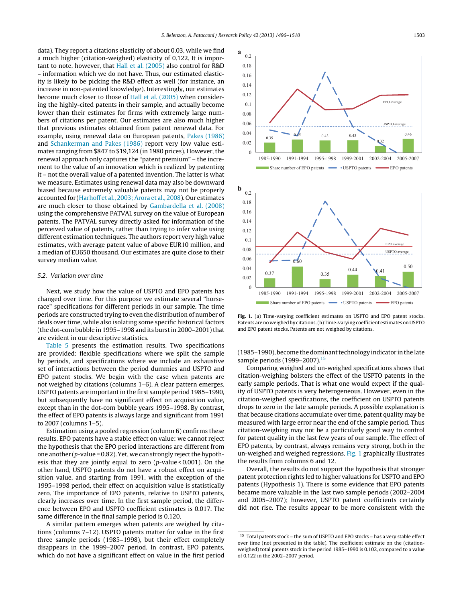data). They report a citations elasticity of about 0.03, while we find a much higher (citation-weighed) elasticity of 0.122. It is important to note, however, that [Hall](#page-14-0) et [al.](#page-14-0) [\(2005\)](#page-14-0) also control for R&D – information which we do not have. Thus, our estimated elasticity is likely to be picking the R&D effect as well (for instance, an increase in non-patented knowledge). Interestingly, our estimates become much closer to those of [Hall](#page-14-0) et [al.](#page-14-0) [\(2005\)](#page-14-0) when considering the highly-cited patents in their sample, and actually become lower than their estimates for firms with extremely large numbers of citations per patent. Our estimates are also much higher that previous estimates obtained from patent renewal data. For example, using renewal data on European patents, [Pakes](#page-14-0) [\(1986\)](#page-14-0) and [Schankerman](#page-14-0) [and](#page-14-0) [Pakes](#page-14-0) [\(1986\)](#page-14-0) report very low value estimates ranging from \$847 to \$19,124 (in 1980 prices). However, the renewal approach only captures the "patent premium" – the increment to the value of an innovation which is realized by patenting it – not the overall value of a patented invention. The latter is what we measure. Estimates using renewal data may also be downward biased because extremely valuable patents may not be properly accounted for ([Harhoff](#page-14-0) et [al.,](#page-14-0) 2003; Arora et al., [2008\).](#page-14-0) Our estimates are much closer to those obtained by [Gambardella](#page-14-0) et [al.](#page-14-0) [\(2008\)](#page-14-0) using the comprehensive PATVAL survey on the value of European patents. The PATVAL survey directly asked for information of the perceived value of patents, rather than trying to infer value using different estimation techniques. The authors report very high value estimates, with average patent value of above EUR10 million, and a median of EU650 thousand. Our estimates are quite close to their survey median value.

## 5.2. Variation over time

Next, we study how the value of USPTO and EPO patents has changed over time. For this purpose we estimate several "horserace" specifications for different periods in our sample. The time periods are constructed trying to even the distribution of number of deals over time, while also isolating some specific historical factors (the dot-com bubble in 1995–1998 and its burst in 2000–2001) that are evident in our descriptive statistics.

[Table](#page-8-0) 5 presents the estimation results. Two specifications are provided: flexible specifications where we split the sample by periods, and specifications where we include an exhaustive set of interactions between the period dummies and USPTO and EPO patent stocks. We begin with the case when patents are not weighed by citations (columns 1–6). A clear pattern emerges. USPTO patents are important in the first sample period 1985–1990, but subsequently have no significant effect on acquisition value, except than in the dot-com bubble years 1995–1998. By contrast, the effect of EPO patents is always large and significant from 1991 to 2007 (columns 1–5).

Estimation using a pooled regression (column 6) confirms these results. EPO patents have a stable effect on value: we cannot reject the hypothesis that the EPO period interactions are different from one another ( $p$ -value = 0.82). Yet, we can strongly reject the hypothesis that they are jointly equal to zero (p-value < 0.001). On the other hand, USPTO patents do not have a robust effect on acquisition value, and starting from 1991, with the exception of the 1995–1998 period, their effect on acquisition value is statistically zero. The importance of EPO patents, relative to USPTO patents, clearly increases over time. In the first sample period, the difference between EPO and USPTO coefficient estimates is 0.017. The same difference in the final sample period is 0.120.

A similar pattern emerges when patents are weighed by citations (columns 7–12). USPTO patents matter for value in the first three sample periods (1985–1998), but their effect completely disappears in the 1999–2007 period. In contrast, EPO patents, which do not have a significant effect on value in the first period



**Fig. 1.** (a) Time-varying coefficient estimates on USPTO and EPO patent stocks. Patents are no weighed by citations. (b) Time-varying coefficient estimates on USPTO and EPO patent stocks. Patents are not weighed by citations.

(1985–1990), become the dominant technology indicator in the late sample periods (1999–2007).15

Comparing weighed and un-weighed specifications shows that citation-weighing bolsters the effect of the USPTO patents in the early sample periods. That is what one would expect if the quality of USPTO patents is very heterogeneous. However, even in the citation-weighed specifications, the coefficient on USPTO patents drops to zero in the late sample periods. A possible explanation is that because citations accumulate over time, patent quality may be measured with large error near the end of the sample period. Thus citation-weighing may not be a particularly good way to control for patent quality in the last few years of our sample. The effect of EPO patents, by contrast, always remains very strong, both in the un-weighed and weighed regressions. Fig. 1 graphically illustrates the results from columns 6 and 12.

Overall, the results do not support the hypothesis that stronger patent protection rights led to higher valuations for USPTO and EPO patents (Hypothesis 1). There is some evidence that EPO patents became more valuable in the last two sample periods (2002–2004 and 2005–2007); however, USPTO patent coefficients certainly did not rise. The results appear to be more consistent with the

<sup>15</sup> Total patents stock – the sum of USPTO and EPO stocks – has a very stable effect over time (not presented in the table). The coefficient estimate on the (citationweighed) total patents stock in the period 1985–1990 is 0.102, compared to a value of 0.122 in the 2002–2007 period.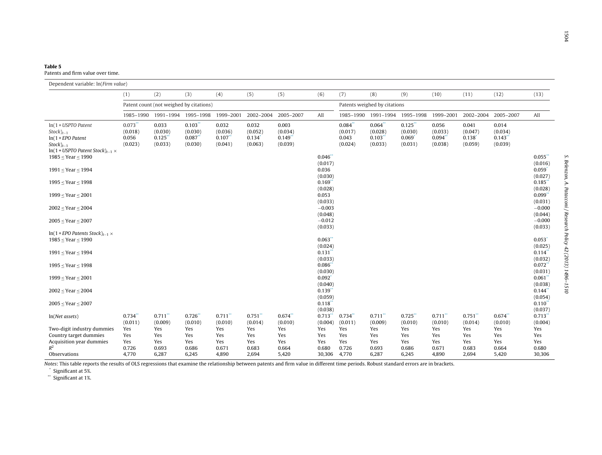#### <span id="page-8-0"></span>**Table 5**

Patents and firm value over time.

| Dependent variable: ln(Firm value)                                                                                               |                                           |                                         |                                                |                                           |                                         |                                        |                                      |                                           |                                           |                                                          |                                         |                                                     |                                         |                                      |
|----------------------------------------------------------------------------------------------------------------------------------|-------------------------------------------|-----------------------------------------|------------------------------------------------|-------------------------------------------|-----------------------------------------|----------------------------------------|--------------------------------------|-------------------------------------------|-------------------------------------------|----------------------------------------------------------|-----------------------------------------|-----------------------------------------------------|-----------------------------------------|--------------------------------------|
|                                                                                                                                  | (1)                                       | (2)                                     | (3)                                            | (4)                                       | (5)                                     | (5)                                    | (6)                                  | (7)                                       | (8)                                       | (9)                                                      | (10)                                    | (11)                                                | (12)                                    | (13)                                 |
|                                                                                                                                  |                                           | Patent count (not weighed by citations) |                                                |                                           |                                         |                                        |                                      |                                           | Patents weighed by citations              |                                                          |                                         |                                                     |                                         |                                      |
|                                                                                                                                  | 1985-1990                                 | 1991-1994                               | 1995-1998                                      | 1999-2001                                 | 2002-2004                               | 2005-2007                              | All                                  | 1985-1990                                 | 1991-1994                                 | 1995-1998                                                | 1999-2001                               | 2002-2004                                           | 2005-2007                               | All                                  |
| $ln(1 + USPTO$ Patent<br>$Stock)_{t-1}$<br>$ln(1 + EPO$ Patent<br>$Stock)_{t-1}$<br>$ln(1 + USPTO$ Patent Stock $)_{t-1} \times$ | $0.073$ **<br>(0.018)<br>0.056<br>(0.023) | 0.033<br>(0.030)<br>0.125<br>(0.033)    | $0.103$ **<br>(0.030)<br>$0.087$ **<br>(0.030) | 0.032<br>(0.036)<br>$0.107$ **<br>(0.041) | 0.032<br>(0.052)<br>$0.134*$<br>(0.063) | 0.003<br>(0.034)<br>0.149''<br>(0.039) |                                      | $0.084$ **<br>(0.017)<br>0.043<br>(0.024) | $0.064$ **<br>(0.028)<br>0.103<br>(0.033) | $0.125$ **<br>(0.030)<br>$0.069$ <sup>*</sup><br>(0.031) | 0.056<br>(0.033)<br>$0.094*$<br>(0.038) | 0.041<br>(0.047)<br>$0.138$ <sup>*</sup><br>(0.059) | 0.014<br>(0.034)<br>$0.143*$<br>(0.039) |                                      |
| $1985 <$ Year $<$ 1990                                                                                                           |                                           |                                         |                                                |                                           |                                         |                                        | 0.046"                               |                                           |                                           |                                                          |                                         |                                                     |                                         | $0.055$ **                           |
| $1991 \leq Year \leq 1994$                                                                                                       |                                           |                                         |                                                |                                           |                                         |                                        | (0.017)<br>0.036<br>(0.030)          |                                           |                                           |                                                          |                                         |                                                     |                                         | (0.016)<br>0.059<br>(0.027)          |
| $1995 \leq$ Year $\leq$ 1998                                                                                                     |                                           |                                         |                                                |                                           |                                         |                                        | 0.169"<br>(0.028)                    |                                           |                                           |                                                          |                                         |                                                     |                                         | 0.185<br>(0.028)                     |
| $1999 \leq Year \leq 2001$                                                                                                       |                                           |                                         |                                                |                                           |                                         |                                        | 0.053<br>(0.033)                     |                                           |                                           |                                                          |                                         |                                                     |                                         | 0.099<br>(0.031)                     |
| $2002 \leq$ Year $\leq$ 2004                                                                                                     |                                           |                                         |                                                |                                           |                                         |                                        | $-0.003$                             |                                           |                                           |                                                          |                                         |                                                     |                                         | $-0.000$                             |
| $2005 \leq$ Year $\leq$ 2007                                                                                                     |                                           |                                         |                                                |                                           |                                         |                                        | (0.048)<br>$-0.012$<br>(0.033)       |                                           |                                           |                                                          |                                         |                                                     |                                         | (0.044)<br>$-0.000$<br>(0.033)       |
| $ln(1 + EPO$ Patents Stock) <sub>t-1</sub> ×<br>$1985 \leq$ Year $\leq$ 1990                                                     |                                           |                                         |                                                |                                           |                                         |                                        | $0.063$ **                           |                                           |                                           |                                                          |                                         |                                                     |                                         | 0.053                                |
| $1991 \leq Year \leq 1994$                                                                                                       |                                           |                                         |                                                |                                           |                                         |                                        | (0.024)<br>0.131<br>(0.033)          |                                           |                                           |                                                          |                                         |                                                     |                                         | (0.025)<br>$0.114$ **<br>(0.032)     |
| $1995 \leq$ Year $\leq$ 1998                                                                                                     |                                           |                                         |                                                |                                           |                                         |                                        | 0.086"                               |                                           |                                           |                                                          |                                         |                                                     |                                         | $0.072$ **                           |
| $1999 \leq Year \leq 2001$                                                                                                       |                                           |                                         |                                                |                                           |                                         |                                        | (0.030)<br>0.092<br>(0.040)          |                                           |                                           |                                                          |                                         |                                                     |                                         | (0.031)<br>0.061"<br>(0.038)         |
| $2002 \leq$ Year $\leq$ 2004                                                                                                     |                                           |                                         |                                                |                                           |                                         |                                        | 0.139''<br>(0.059)                   |                                           |                                           |                                                          |                                         |                                                     |                                         | $0.144$ **<br>(0.054)                |
| $2005 \leq$ Year $\leq$ 2007                                                                                                     |                                           |                                         |                                                |                                           |                                         |                                        | 0.118<br>(0.038)                     |                                           |                                           |                                                          |                                         |                                                     |                                         | $0.110^{*}$<br>(0.037)               |
| ln(Net assets)                                                                                                                   | $0.734$ **<br>(0.011)                     | 0.711<br>(0.009)                        | 0.726<br>(0.010)                               | $0.711$ **<br>(0.010)                     | $0.751$ **<br>(0.014)                   | $0.674$ **<br>(0.010)                  | $0.713$ <sup>*</sup><br>(0.004)      | $0.734$ **<br>(0.011)                     | $0.711$ **<br>(0.009)                     | $0.725$ **<br>(0.010)                                    | $0.711$ **<br>(0.010)                   | $0.751$ **<br>(0.014)                               | $0.674$ **<br>(0.010)                   | $0.713$ **<br>(0.004)                |
| Two-digit industry dummies<br>Country target dummies<br>Acquisition year dummies<br>$R^2$<br>Observations                        | Yes<br>Yes<br>Yes<br>0.726<br>4,770       | Yes<br>Yes<br>Yes<br>0.693<br>6,287     | Yes<br>Yes<br>Yes<br>0.686<br>6,245            | Yes<br>Yes<br>Yes<br>0.671<br>4.890       | Yes<br>Yes<br>Yes<br>0.683<br>2.694     | Yes<br>Yes<br>Yes<br>0.664<br>5.420    | Yes<br>Yes<br>Yes<br>0.680<br>30,306 | Yes<br>Yes<br>Yes<br>0.726<br>4,770       | Yes<br>Yes<br>Yes<br>0.693<br>6,287       | Yes<br>Yes<br>Yes<br>0.686<br>6.245                      | Yes<br>Yes<br>Yes<br>0.671<br>4,890     | Yes<br>Yes<br>Yes<br>0.683<br>2,694                 | Yes<br>Yes<br>Yes<br>0.664<br>5.420     | Yes<br>Yes<br>Yes<br>0.680<br>30,306 |

Notes: This table reports the results of OLS regressions that examine the relationship between patents and firm value in different time periods. Robust standard errors are in brackets.

\* Significant at 5%. \*\* Significant at 1%.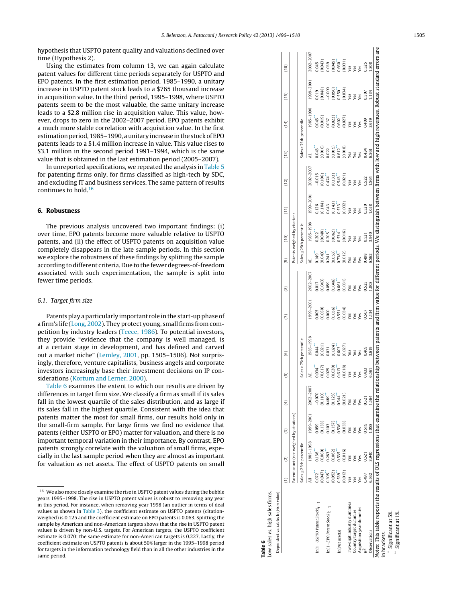<span id="page-9-0"></span>hypothesis that USPTO patent quality and valuations declined over time (Hypothesis 2).

Using the estimates from column 13, we can again calculate patent values for different time periods separately for USPTO and EPO patents. In the first estimation period, 1985–1990, a unitary increase in USPTO patent stock leads to a \$765 thousand increase in acquisition value. In the third period, 1995–1998, where USPTO patents seem to be the most valuable, the same unitary increase leads to a \$2.8 million rise in acquisition value. This value, however, drops to zero in the 2002–2007 period. EPO patents exhibit a much more stable correlation with acquisition value. In the first estimation period, 1985–1990, a unitary increase in the stock of EPO patents leads to a \$1.4 million increase in value. This value rises to \$3.1 million in the second period 1991–1994, which is the same value that is obtained in the last estimation period (2005–2007).

In unreported specifications, we repeated the analysis in [Table](#page-8-0) 5 for patenting firms only, for firms classified as high-tech by SDC, and excluding IT and business services. The same pattern of results continues to hold.16

## **6. Robustness**

The previous analysis uncovered two important findings: (i) over time, EPO patents become more valuable relative to USPTO patents, and (ii) the effect of USPTO patents on acquisition value completely disappears in the late sample periods. In this section we explore the robustness of these findings by splitting the sample according to different criteria. Due to the fewer degrees-of-freedom associated with such experimentation, the sample is split into fewer time periods.

## 6.1. Target firm size

Patentsplay aparticularly important role inthe start-upphase of a firm's life [\(Long,](#page-14-0) [2002\).](#page-14-0) They protect young, small firms from competition by industry leaders ([Teece,](#page-14-0) [1986\).](#page-14-0) To potential investors, they provide "evidence that the company is well managed, is at a certain stage in development, and has defined and carved out a market niche" [\(Lemley,](#page-14-0) [2001](#page-14-0) , pp. 1505–1506). Not surprisingly, therefore, venture capitalists, business angels and corporate investors increasingly base their investment decisions on IP considerations [\(Kortum](#page-14-0) [and](#page-14-0) [Lerner,](#page-14-0) [2000\).](#page-14-0)

Table 6 examines the extent to which our results are driven by differences in target firm size. We classify a firm as small if its sales fall in the lowest quartile of the sales distribution, and as large if its sales fall in the highest quartile. Consistent with the idea that patents matter the most for small firms, our results hold only in the small-firm sample. For large firms we find no evidence that patents (either USPTO or EPO) matter for valuation, and there is no important temporal variation in their importance. By contrast, EPO patents strongly correlate with the valuation of small firms, especially in the last sample period when they are almost as important for valuation as net assets. The effect of USPTO patents on small

| Low sales vs. high sales firms.                                                      |         |                                                 |                                                 |                                                 |                                                 |                                                                                                                                                   |                                                                          |                                                        |                                                                                          |                                                                                                                  |                                                                                                                                     |                                                                   |                                                                                                                           |                                                                                                      |                                                                                                                |                                                                  |
|--------------------------------------------------------------------------------------|---------|-------------------------------------------------|-------------------------------------------------|-------------------------------------------------|-------------------------------------------------|---------------------------------------------------------------------------------------------------------------------------------------------------|--------------------------------------------------------------------------|--------------------------------------------------------|------------------------------------------------------------------------------------------|------------------------------------------------------------------------------------------------------------------|-------------------------------------------------------------------------------------------------------------------------------------|-------------------------------------------------------------------|---------------------------------------------------------------------------------------------------------------------------|------------------------------------------------------------------------------------------------------|----------------------------------------------------------------------------------------------------------------|------------------------------------------------------------------|
| Dependent variable: In(Firm value)                                                   |         |                                                 |                                                 |                                                 |                                                 |                                                                                                                                                   |                                                                          |                                                        |                                                                                          |                                                                                                                  |                                                                                                                                     |                                                                   |                                                                                                                           |                                                                                                      |                                                                                                                |                                                                  |
|                                                                                      |         | (2)                                             | $\widehat{c}$                                   | $\left(4\right)$                                | 6                                               | ම                                                                                                                                                 | $\widehat{\Xi}$                                                          | ම                                                      | ම                                                                                        | (10)                                                                                                             | $\left(11\right)$                                                                                                                   | (12)                                                              | $\binom{13}{1}$                                                                                                           | (14)                                                                                                 | (15)                                                                                                           | (16)                                                             |
|                                                                                      |         | Patent count (not weighed by citations)         |                                                 |                                                 |                                                 |                                                                                                                                                   |                                                                          |                                                        |                                                                                          | Patents weighed by citations                                                                                     |                                                                                                                                     |                                                                   |                                                                                                                           |                                                                                                      |                                                                                                                |                                                                  |
|                                                                                      |         | Sales < 25th percentile                         |                                                 |                                                 |                                                 | Sales > 75th percentile                                                                                                                           |                                                                          |                                                        |                                                                                          | Sales $\leq$ 25th percentile                                                                                     |                                                                                                                                     |                                                                   | Sales > 75th percentile                                                                                                   |                                                                                                      |                                                                                                                |                                                                  |
|                                                                                      | ā       | 1985-1998                                       | 1999-2001                                       | 2002-2007                                       | ₹                                               | 8661-5861                                                                                                                                         | 1999-2001                                                                | 2002-2007                                              | ₹                                                                                        | 985-1998                                                                                                         | 1999-2001                                                                                                                           | 2002-2007                                                         |                                                                                                                           | 985-1998                                                                                             | 1999-2001                                                                                                      | 2002-2007                                                        |
| $ln(1 + USPTO$ Patent Stock $)_{t-1}$                                                | 0.072   | 0.136                                           | 0.059                                           | $-0.070$                                        | 0.034                                           | 0.044                                                                                                                                             | 0.005                                                                    | 0.017                                                  | 0.149                                                                                    | 0.202                                                                                                            |                                                                                                                                     | $-0.015$                                                          | 0.043                                                                                                                     | 0.045                                                                                                | 0.019                                                                                                          | 1.045                                                            |
|                                                                                      | (0.047) | $\begin{array}{c} (0.060) \\ 0.283 \end{array}$ | (0.133)                                         | $\begin{bmatrix} 0.110 \\ -0.489 \end{bmatrix}$ | $\begin{array}{c} (0.017) \\ 0.025 \end{array}$ | (0.021)                                                                                                                                           | $\begin{array}{c} (0.050) \\ 0.000 \end{array}$                          |                                                        | $(0.040)$<br>0.241                                                                       |                                                                                                                  |                                                                                                                                     |                                                                   |                                                                                                                           | (0.019)                                                                                              | 0.048                                                                                                          |                                                                  |
| $ln(1 + EPO$ Patent Stock $)_{f-1}$                                                  | 0.305   |                                                 | 0.103                                           |                                                 |                                                 | 0.031                                                                                                                                             |                                                                          |                                                        |                                                                                          |                                                                                                                  |                                                                                                                                     |                                                                   |                                                                                                                           |                                                                                                      |                                                                                                                |                                                                  |
|                                                                                      | (0.052) | (0.062)                                         | $\begin{array}{c} (0.157) \\ 0.536 \end{array}$ | $\frac{(0.123)}{0.544}$                         | $(0.020)$<br>$0.613$                            | $(0.024)$<br>0.603                                                                                                                                | $\begin{array}{c} (0.056) \\ 0.551 \\ (0.034) \\ Yes \\ Yes \end{array}$ | $(0.043)$<br>0.059<br>0.046)<br>0.661<br>0.031)<br>Yes | $\begin{array}{c} (0.053) \\ 0.738 \\ (0.012) \\ Y \text{es} \\ Y \text{es} \end{array}$ | $\begin{array}{l} (0.048)\\ 0.205\\ 0.062)\\ 0.534\\ 0.534\\ \text{Yes} \\ \text{Yes} \\ \text{Yes} \end{array}$ | $\begin{array}{l} (0.126\ (0.104)\ 0.043\ (0.143)\ 0.533\ \end{array}$<br>$\begin{array}{l} (0.141\ 0.532)\\ (0.032)\\ \end{array}$ | $0.106$<br>$0.474$<br>$0.133$<br>$0.543$<br>$0.643$<br>Yes<br>Yes | $\begin{array}{c} (0.016) \ 0.022 \ (0.019) \ 0.612 \ 0.612 \ \text{Yes} \ (0.018) \ \text{Yes} \ \text{Yes} \end{array}$ | $\begin{array}{l} (0.023) \\ 0.602 \\ (0.027) \\ \text{Yes} \\ \text{Yes} \\ \text{Yes} \end{array}$ | $\begin{array}{r} -0.009 \\ (0.050) \\ 0.550 \\ (0.034) \\ \text{Yes} \\ \text{Yes} \\ \text{Yes} \end{array}$ | $(0.043)$<br>0.039<br>$(0.045)$<br>0.660<br>0.031)<br>Yes<br>Yes |
| In(Net assets)                                                                       | 0.539   | 0.535                                           |                                                 |                                                 |                                                 |                                                                                                                                                   |                                                                          |                                                        |                                                                                          |                                                                                                                  |                                                                                                                                     |                                                                   |                                                                                                                           |                                                                                                      |                                                                                                                |                                                                  |
|                                                                                      | (0.012) | (0.016)                                         | (0.033)                                         | (0.021)                                         | (0.018)                                         | $(0.027)$<br>Yes                                                                                                                                  |                                                                          |                                                        |                                                                                          |                                                                                                                  |                                                                                                                                     |                                                                   |                                                                                                                           |                                                                                                      |                                                                                                                |                                                                  |
| Two-digit industry dummies                                                           | Yes     | Yes                                             | Yes                                             | Ves                                             | Yes                                             |                                                                                                                                                   |                                                                          |                                                        |                                                                                          |                                                                                                                  |                                                                                                                                     |                                                                   |                                                                                                                           |                                                                                                      |                                                                                                                |                                                                  |
| Country target dummies                                                               | Yes     | Yes                                             | Yes                                             | Yes                                             | Yes<br>Yes                                      | Yes                                                                                                                                               |                                                                          |                                                        |                                                                                          |                                                                                                                  |                                                                                                                                     |                                                                   |                                                                                                                           |                                                                                                      |                                                                                                                |                                                                  |
| Acquisition year dummies                                                             | Yes     | Yes                                             | Yes                                             | Yes                                             |                                                 | Yes                                                                                                                                               | Yes                                                                      | Yes                                                    | Yes                                                                                      |                                                                                                                  | Yes                                                                                                                                 | Yes                                                               | Yes                                                                                                                       | Yes                                                                                                  | Yes                                                                                                            |                                                                  |
|                                                                                      | 0.497   | 0.521                                           | 0.519                                           | 0.521                                           | 0.433                                           | 0.409                                                                                                                                             | 0.507                                                                    | 0.525                                                  | 0.498                                                                                    | 0.521                                                                                                            | 0.520                                                                                                                               | 0.522                                                             | 0.434                                                                                                                     | 0.409                                                                                                | 0.507                                                                                                          | 0.525                                                            |
| Observations                                                                         | 6,562   | 3,940                                           | 1,058                                           | 1,564                                           | 6,561                                           | 3,619                                                                                                                                             | 1.134                                                                    | 1,808                                                  | 6,562                                                                                    | 3,940                                                                                                            | 1,058                                                                                                                               | 1,564                                                             | 6,561                                                                                                                     | 3,619                                                                                                | 1,134                                                                                                          | 1,808                                                            |
| Notes: This table reports the results of OLS regressions that examine the relational |         |                                                 |                                                 |                                                 |                                                 | ionship between patents and firm value for different periods. We distinguish between firms with low and high revenues. Robust standard errors are |                                                                          |                                                        |                                                                                          |                                                                                                                  |                                                                                                                                     |                                                                   |                                                                                                                           |                                                                                                      |                                                                                                                |                                                                  |

in brackets.

in brackets.

Significant at 5%.<br>\* Sienificant at 1%. Significant at 5%. \*\* Significant at 1%.Significant at

**Table 6**

<sup>&</sup>lt;sup>16</sup> We also more closely examine the rise in USPTO patent values during the bubble years 1995–1998. The rise in USPTO patent values is robust to removing any year in this period. For instance, when removing year 1998 (an outlier in terms of deal values as shown in [Table](#page-4-0) 3), the coefficient estimate on USPTO patents (citationweighed) is 0.125 and the coefficient estimate on EPO patents is 0.063. Splitting the sample by American and non-American targets shows that the rise in USPTO patent values is driven by non-U.S. targets. For American targets, the USPTO coefficient estimate is 0.070; the same estimate for non-American targets is 0.227. Lastly, the coefficient estimate on USPTO patents is about 50% larger in the 1995–1998 period for targets in the information technology field than in all the other industries in the same period.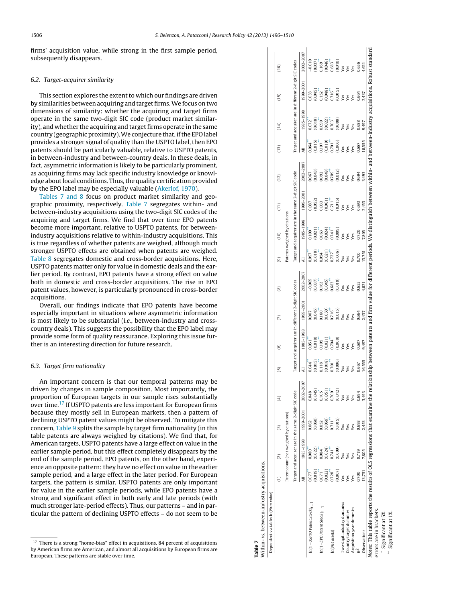firms' acquisition value, while strong in the first sample period, subsequently disappears.

## 6.2. Target-acquirer similarity

This section explores the extent to which our findings are driven by similarities between acquiring and target firms.We focus on two dimensions of similarity: whether the acquiring and target firms operate in the same two-digit SIC code (product market similarity), and whether the acquiring and target firms operate in the same country (geographic proximity).We conjecture that, ifthe EPO label provides a stronger signal of quality than the USPTO label,then EPO patents should be particularly valuable, relative to USPTO patents, in between-industry and between-country deals. In these deals, in fact, asymmetric information is likely to be particularly prominent, as acquiring firms may lack specific industry knowledge or knowledge about local conditions. Thus, the quality certification provided by the EPO label may be especially valuable [\(Akerlof,](#page-14-0) [1970\).](#page-14-0)

Tables 7 and 8 focus on product market similarity and geographic proximity, respectively. Table 7 segregates within- and between-industry acquisitions using the two-digit SIC codes of the acquiring and target firms. We find that over time EPO patents become more important, relative to USPTO patents, for betweenindustry acquisitions relative to within-industry acquisitions. This is true regardless of whether patents are weighed, although much stronger USPTO effects are obtained when patents are weighed. [Table](#page-11-0) 8 segregates domestic and cross-border acquisitions. Here, USPTO patents matter only for value in domestic deals and the earlier period. By contrast, EPO patents have a strong effect on value both in domestic and cross-border acquisitions. The rise in EPO patent values, however, is particularly pronounced in cross-border acquisitions.

Overall, our findings indicate that EPO patents have become especially important in situations where asymmetric information is most likely to be substantial (*i.e.*, between-industry and crosscountry deals). This suggests the possibility that the EPO label may provide some form of quality reassurance. Exploring this issue further is an interesting direction for future research.

## 6.3. Target firm nationality

An important concern is that our temporal patterns may be driven by changes in sample composition. Most importantly, the proportion of European targets in our sample rises substantially over time.17 If USPTO patents are less important for European firms because they mostly sell in European markets, then a pattern of declining USPTO patent values might be observed. To mitigate this concern, [Table](#page-11-0) 9 splits the sample by target firm nationality (in this table patents are always weighed by citations). We find that, for American targets, USPTO patents have a large effect on value in the earlier sample period, but this effect completely disappears by the end of the sample period. EPO patents, on the other hand, experience an opposite pattern: they have no effect on value in the earlier sample period, and a large effect in the later period. For European targets, the pattern is similar. USPTO patents are only important for value in the earlier sample periods, while EPO patents have a strong and significant effect in both early and late periods (with much stronger late-period effects). Thus, our patterns – and in particular the pattern of declining USPTO effects – do not seem to be

| Dependent variable: In(Firm value)   |         |                                                 |                                                      |                                                |         |                                                        |                                                 |                      |                       |                                                      |                                                 |           |         |                                                         |                    |                      |
|--------------------------------------|---------|-------------------------------------------------|------------------------------------------------------|------------------------------------------------|---------|--------------------------------------------------------|-------------------------------------------------|----------------------|-----------------------|------------------------------------------------------|-------------------------------------------------|-----------|---------|---------------------------------------------------------|--------------------|----------------------|
|                                      |         | $\widehat{c}$                                   | $\widehat{c}$                                        | ⊕                                              | 0       | ම                                                      | ε                                               | ම                    | ම                     | (10)                                                 | $\left(11\right)$                               | (12)      | (13)    | (14)                                                    | (15)               | (16)                 |
|                                      |         | Patent count (not weighed by citations)         |                                                      |                                                |         |                                                        |                                                 |                      |                       | Patents weighed by citations                         |                                                 |           |         |                                                         |                    |                      |
|                                      |         |                                                 | Target and acquirer are in the same 2-digit SIC code |                                                |         | Target and acquirer are in different 2-digit SIC codes |                                                 |                      |                       | Target and acquirer are in the same 2-digit SIC code |                                                 |           |         | l'arget and acquirer are in different 2-digit SIC codes |                    |                      |
|                                      | All     | 1985-1998                                       | 1999-2001                                            | 2002-2007                                      | 5H      | 985-1998                                               | $.999 - 2001$                                   | 2002–2007            | 5H                    | 985-1998                                             | $.999 - 2001$                                   | 2002–2007 | FII     | 985-1998                                                | 1999-2001          | 2002-2007            |
| $ln(1 + USPTO$ Patent $Stock)_{t-1}$ | 0.077   | 0.080                                           | 0.062                                                | 0.048                                          | 0.044   | 0.051                                                  | 0.007                                           | $-0.009$             | 0.097                 | 0.100                                                | 0.087                                           | 0.067     | 0.064   | 0.72                                                    | 0.033              | $-0.010$             |
|                                      | (0.019) | (0.022)                                         | (0.060)                                              | (0.045)                                        | (0.015) | (0.018)                                                | (0.045)                                         | 0.037                | 0.018                 | (0.021)                                              | (0.052)                                         | 0.043     | (0.015) | (0.018)                                                 | (0.045)            | 0.037                |
| $ln(1 + EPO$ Patent Stock $)_{t-1}$  | 0.071   | 0.084                                           | 0.052                                                | 0.105                                          | 0.118   | 0.105                                                  | 091.0                                           | 0.163                | 0.054                 | 0.063                                                | 0.33                                            | 0.092     | 0.107   | 0.090                                                   | 0.152              | 1169                 |
|                                      | (0.022) | $\begin{array}{c} (0.024) \\ 0.741 \end{array}$ | (0.069)                                              | $\begin{array}{c} (0.051 \\ 0.709 \end{array}$ | (0.018) | $0.021$<br>0.704                                       |                                                 | $(0.045)$<br>$0.683$ |                       | $\begin{array}{c} (0.024) \\ 0.741 \end{array}$      |                                                 | 0.709     | (0.019) | $\frac{0.022}{0.703}$                                   | $0.048$<br>$0.716$ |                      |
| In(Net assets)                       | 0.728   |                                                 | 0.711                                                |                                                | 0.701   |                                                        | $\begin{array}{c} (0.050) \\ 0.716 \end{array}$ |                      | $\frac{0.021}{0.727}$ |                                                      | $\begin{array}{c} (0.061) \\ 0.711 \end{array}$ |           | 0.701   |                                                         |                    | $(0.046)$<br>$0.683$ |
|                                      | (0.007) | (0.009)                                         | (0.015)                                              | (0.012)                                        | (0.006) | (0.008)                                                | (0.015)                                         | (0.010)              | (0.006)               | (0.009)                                              | (0.015)                                         | (0.012)   | (0.006) | (0.008)                                                 | (0.015)            | (0.010)              |
| Two-digit industry dummies           | yes     | Ves                                             | Yes                                                  | Yes                                            | Yes     | yes                                                    | Yes                                             | Ves                  | ves                   | Ves                                                  | Ves                                             | Yes       | Yes     | Yes                                                     | Yes                | ves                  |
| Country target dummies               | Yes     | Ves                                             | Yes                                                  | Yes                                            | Yes     | Yes                                                    | Yes                                             | Yes                  | Yes                   | Ves                                                  | Yes                                             | Yes       | Yes     | Yes                                                     | Yes                | Yes                  |
| Acquisition year dummies             | Yes     | Yes                                             | Yes                                                  | Yes                                            | Yes     | Yes                                                    | Yes                                             | Yes                  | yes                   | Yes                                                  | Yes                                             | Yes       | Yes     | Yes                                                     | Yes                | yes                  |
|                                      | 0.700   | 0.719                                           | 0.693                                                | 0.694                                          | 0.667   | 0.687                                                  | 0.664                                           | 0.655                | 0.70C                 | 0.720                                                | 0.693                                           | 0.694     | 0.667   | 0.688                                                   | 0.664              | 0.656                |
| Observations                         | 13,751  | 7,805                                           | 2,453                                                | 3,493                                          | 16,555  | 9,497                                                  | 2,437                                           | 4,621                | 13,751                | 7,805                                                | 2.453                                           | 3,493     | 16,555  | 9,497                                                   | 2,437              | 4.621                |

Significant at 5%.

\* Significant at 5%.<br>\* Significant at 1%. \*\* Significant at 1%.

<sup>&</sup>lt;sup>17</sup> There is a strong "home-bias" effect in acquisitions. 84 percent of acquisitions by American firms are American, and almost all acquisitions by European firms are European. These patterns are stable over time.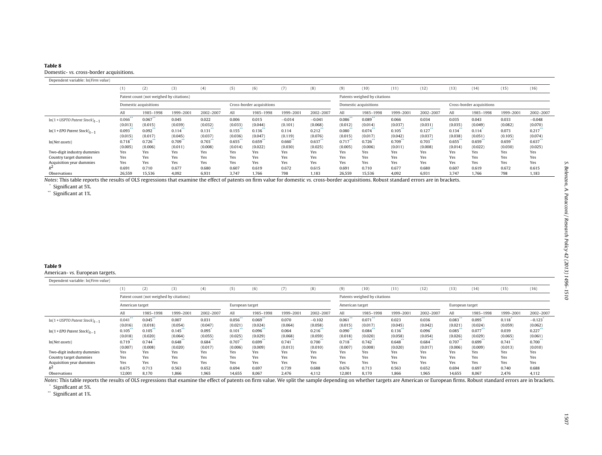#### <span id="page-11-0"></span>**Table 8**

#### Domestic- vs. cross-border acquisitions.

### Dependent variable: ln(Firm value)

|                                       | (1)     | (2)                                     | (3)       | (4)       | (5)     | (6)                       |           | (8)       | (9)     | (10)                         | (11)      | (12)      | (13)    | (14)                      | (15)      | (16)      |
|---------------------------------------|---------|-----------------------------------------|-----------|-----------|---------|---------------------------|-----------|-----------|---------|------------------------------|-----------|-----------|---------|---------------------------|-----------|-----------|
|                                       |         | Patent count (not weighed by citations) |           |           |         |                           |           |           |         | Patents weighed by citations |           |           |         |                           |           |           |
|                                       |         | Domestic acquisitions                   |           |           |         | Cross-border acquisitions |           |           |         | Domestic acquisitions        |           |           |         | Cross-border acquisitions |           |           |
|                                       | All     | 1985-1998                               | 1999-2001 | 2002-2007 | All     | 1985-1998                 | 1999-2001 | 2002-2007 | All     | 1985-1998                    | 1999-2001 | 2002-2007 | All     | 1985-1998                 | 1999-2001 | 2002-2007 |
| $ln(1 + USPTO$ Patent Stock $)_{t-1}$ | 0.066   | $0.067***$                              | 0.045     | 0.022     | 0.006   | 0.015                     | $-0.014$  | $-0.041$  | 0.086   | 0.089                        | 0.066     | 0.034     | 0.035   | 0.043                     | 0.033     | $-0.048$  |
|                                       | (0.013) | (0.015)                                 | (0.039)   | (0.032)   | (0.033) | (0.044)                   | (0.101)   | (0.068)   | (0.012) | (0.014)                      | (0.037)   | (0.031)   | (0.035) | (0.049)                   | (0.082)   | (0.070)   |
| $ln(1 + EPO$ Patent Stock $)_{t-1}$   | 0.093   | 0.092                                   | 0.114     | 0.131     | 0.155   | 0.136                     | 0.114     | 0.212     | 0.080   | 0.074                        | 0.105     | 0.127     | 0.134   | 0.114                     | 0.073     | 0.217     |
|                                       | (0.015) | (0.017)                                 | (0.045)   | (0.037)   | (0.036) | (0.047)                   | (0.119)   | (0.076)   | (0.015) | (0.017)                      | (0.042)   | (0.037)   | (0.038) | (0.051)                   | (0.105)   | (0.074)   |
| ln(Net assets)                        | 0.718   | 0.726                                   | 0.709     | 0.703     | 0.655   | 0.659                     | 0.660     | 0.637     | 0.717   | 0.726                        | 0.709     | 0.703     | 0.655   | 0.659                     | 0.659     | 0.637     |
|                                       | (0.005) | (0.006)                                 | (0.011)   | (0.008)   | (0.014) | (0.022)                   | (0.030)   | (0.025)   | (0.005) | (0.006)                      | (0.011)   | (0.008)   | (0.014) | (0.022)                   | (0.030)   | (0.025)   |
| Two-digit industry dummies            | Yes     | Yes                                     | Yes       | Yes       | Yes     | Yes                       | Yes       | Yes       | Yes     | Yes                          | Yes       | Yes       | Yes     | Yes                       | Yes       | Yes       |
| Country target dummies                | Yes     | Yes                                     | Yes       | Yes       | Yes     | Yes                       | Yes       | Yes       | Yes     | Yes                          | Yes       | Yes       | Yes     | Yes                       | Yes       | Yes       |
| Acquisition year dummies              | Yes     | Yes                                     | Yes       | Yes       | Yes     | Yes                       | Yes       | Yes       | Yes     | Yes                          | Yes       | Yes       | Yes     | Yes                       | Yes       | Yes       |
|                                       | 0.691   | 0.710                                   | 0.677     | 0.680     | 0.607   | 0.619                     | 0.672     | 0.615     | 0.691   | 0.710                        | 0.677     | 0.680     | 0.607   | 0.619                     | 0.672     | 0.615     |
| Observations                          | 26,559  | 15,536                                  | 4.092     | 6.931     | 3.747   | 1.766                     | 798       | 1.183     | 26,559  | 15,536                       | 4.092     | 6.931     | 3.747   | 1.766                     | 798       | 1,183     |

Notes: This table reports the results of OLS regressions that examine the effect of patents on firm value for domestic vs. cross-border acquisitions. Robust standard errors are in brackets. Significant at 5%.

\*\* Significant at 1%.

#### **Table 9**

American- vs. European targets.

Dependent variable: ln(Firm value) (1) (2) (3) (4) (5) (6) (7) (8) (9) (10) (11) (12) (13) (14) (15) (16) Patent countPatents weighed by citations American target n target European target European target European target American target American target European target European target All 1985–1998 1999–2001 2002–2007 All 1985–1998 1999–2001 2002–2007 All 1985–1998 1999–2001 2002–2007 All 1985–1998 1999–2001 2002–2007 ln(1 + USPTO Patent Stock)<sub>t−1</sub>  $1^{0.041}$  $0.045$ \*\* 0.007 0.031 0.056 0.069 0.070 <sup>−</sup>0.1022  $0.061$ \*\*  $0.071$ <sup>\*\*</sup> 0.0230.036  $0.083$ 0.095 \*\* $0.118$  $-0.123$ <sup>\*</sup> (0.016) (0.018) (0.054) (0.047) (0.021) (0.024) (0.064) (0.058) (0.015) (0.017) (0.045) (0.042) (0.021) (0.024) (0.059) (0.062) ln(1 + EPO Patent Stock)<sub>t−1</sub>  $1$  0.105\*\*  $0.105$ \*\*  $0.145$ \*\*  $0.095^{*}$  $0.101$ \*\*  $0.096^{**}$ 0.064 $4 \t 0.216$ <sup>\*\*</sup>  $0.090^{**}$  $0.084$ \*\*  $0.136$  $0.096$  $0.085$ \*\*  $0.077$ \*\* 0.0399  $0.227$ <sup>\*\*</sup> (0.018) (0.020) (0.064) (0.055) (0.025) (0.029) (0.068) (0.059) (0.018) (0.020) (0.058) (0.054) (0.026) (0.029) (0.065) (0.061)  $ln(Net \, assets)$  0.719<sup>\*\*</sup> (0.007) \*\*  $0.744$ <sup>\*\*</sup>  $0.648$ \*\*  $0.684$ \*\*  $0.707^{**}$  $0.699$ <sup>\*\*</sup>  $0.741$ \*\*  $0.700^{**}$  $0.718$ \*\*  $0.742$ \*\*  $0.648$  $0.684$ \*\*  $0.707$ \*\* 0.699\*\*  $0.741$ 0.700\*\* (0.007) (0.008) (0.020) (0.017) (0.006) (0.009) (0.013) (0.010) (0.007) (0.008) (0.020) (0.017) (0.006) (0.009) (0.013) (0.010) Two-digit industry dummies Yes Yes Yes Yes Yes Yes Yes Yes Yes Yes Yes Yes Yes Yes Yes Yes Country target dummies Yes Yes Yes Yes Yes Yes Yes Yes Yes Yes Yes Yes Yes Yes Yes Yes Acquisition year dummies Yes Yes Yes Yes Yes Yes Yes Yes Yes Yes Yes Yes Yes Yes Yes Yes  $R^2$  0.675 0.713 0.563 0.652 0.694 0.697 0.739 0.688 0.676 0.713 0.563 0.652 0.694 0.697 0.740 0.688 Observations12,001 8,170 1,866 1,965 14,655 8,067 2,476 4,112 12,001 8,170 1,866 1,965 14,655 8,067 2,476 4,112

Notes: This table reports the results of OLS regressions that examine the effect of patents on firm value. We split the sample depending on whether targets are American or European firms. Robust standard errors are in brac

Significant at 5%.

\*\* Significant at 1%.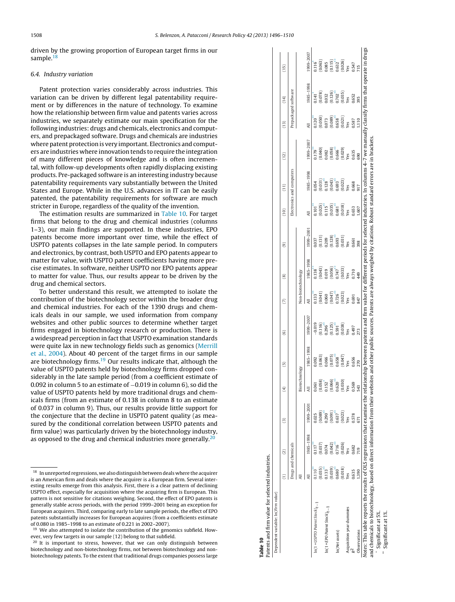driven by the growing proportion of European target firms in our sample.18

#### 6.4. Industry variation

Patent protection varies considerably across industries. This variation can be driven by different legal patentability requirement or by differences in the nature of technology. To examine how the relationship between firm value and patents varies across industries, we separately estimate our main specification for the following industries: drugs and chemicals, electronics and computers, and prepackaged software. Drugs and chemicals are industries where patent protection is very important. Electronics and computers are industries where innovation tends to require the integration of many different pieces of knowledge and is often incremental, with follow-up developments often rapidly displacing existing products. Pre-packaged software is an interesting industry because patentability requirements vary substantially between the United States and Europe. While in the U.S. advances in IT can be easily patented, the patentability requirements for software are much stricter in Europe, regardless of the quality of the invention.

The estimation results are summarized in Table 10 . For target firms that belong to the drug and chemical industries (columns 1–3), our main findings are supported. In these industries, EPO patents become more important over time, while the effect of USPTO patents collapses in the late sample period. In computers and electronics, by contrast, both USPTO and EPO patents appear to matter for value, with USPTO patent coefficients having more precise estimates. In software, neither USPTO nor EPO patents appear to matter for value. Thus, our results appear to be driven by the drug and chemical sectors.

To better understand this result, we attempted to isolate the contribution of the biotechnology sector within the broader drug and chemical industries. For each of the 1390 drugs and chemicals deals in our sample, we used information from company websites and other public sources to determine whether target firms engaged in biotechnology research or production. There is a widespread perception in fact that USPTO examination standards were quite lax in new technology fields such as genomics ([Merrill](#page-14-0) et [al.,](#page-14-0) [2004\).](#page-14-0) About 40 percent of the target firms in our sample are biotechnology firms.19 Our results indicate that, although the value of USPTO patents held by biotechnology firms dropped considerably in the late sample period (from a coefficient estimate of 0.092 in column 5 to an estimate of −0.019 in column 6), so did the value of USPTO patents held by more traditional drugs and chemicals firms (from an estimate of 0.138 in column 8 to an estimate of 0.037 in column 9). Thus, our results provide little support for the conjecture that the decline in USPTO patent quality (as measured by the conditional correlation between USPTO patents and firm value) was particularly driven by the biotechnology industry, as opposed to the drug and chemical industries more generally. $20$ 

| Dependent variable: ln(Firm value)   |                      |                     |                        |               |                      |                                                                     |                    |                                                 |                                                        |                                                 |                                                                     |                         |                                                 |                                                                     |                                                                                   |
|--------------------------------------|----------------------|---------------------|------------------------|---------------|----------------------|---------------------------------------------------------------------|--------------------|-------------------------------------------------|--------------------------------------------------------|-------------------------------------------------|---------------------------------------------------------------------|-------------------------|-------------------------------------------------|---------------------------------------------------------------------|-----------------------------------------------------------------------------------|
|                                      |                      | (2)                 | $\widehat{\mathbf{c}}$ | $\widehat{4}$ | 6                    | $\odot$                                                             | $\widehat{\Xi}$    | ම                                               | ම                                                      | (10)                                            | $\widehat{E}$                                                       | (12)                    | $\begin{pmatrix} 13 \\ 1 \end{pmatrix}$         | (14)                                                                | (15)                                                                              |
|                                      |                      | Drugs and chemicals |                        |               |                      |                                                                     |                    |                                                 |                                                        |                                                 | Electronics and computers                                           |                         |                                                 | Prepackaged software                                                |                                                                                   |
|                                      |                      |                     |                        | Biotech       | nology               |                                                                     | Non-biotechnology  |                                                 |                                                        |                                                 |                                                                     |                         |                                                 |                                                                     |                                                                                   |
|                                      |                      | 1985-1998           | 1999-2001              |               | 1985-1998            | 1999-2007                                                           | ₹                  | 1985-1998                                       | 999-2001                                               |                                                 | 1985-1998                                                           | 1999-2007               | <b>R</b>                                        | 1985-1998                                                           | 1999-2007                                                                         |
| $ln(1 + USPTO$ Patent $Stock)_{t-1}$ | 0.110                | 117                 | 0.025                  | 0.061         | 0.092                | $-0.019$                                                            | 0.133              | 0.138                                           | 0.037                                                  | 0.101                                           | 0.054                                                               | 1.179                   | 1.120                                           | 0.141                                                               | 0.116                                                                             |
|                                      | (0.035)              | (0.037)             | (0.089)                | (0.058)       | (0.063)              |                                                                     | (0.041)            | (0.043)                                         | (0.131)                                                | (0.025)                                         |                                                                     | (0.040)                 | (0.050)                                         | (0.078)                                                             | (0.063)                                                                           |
| $ln(1 + EPO$ Patent Stock $)_{f-1}$  | $0.133$ <sup>*</sup> | 1.074               | 0.290                  | 0.152         | 0.066                | $\begin{array}{c} (0.116) \\ 0.296 \\ (0.125) \\ 0.591 \end{array}$ | 0.060              | 0.019                                           |                                                        | 0.115                                           | $\begin{array}{c} (0.031) \\ 0.128 \\ (0.043) \\ 0.693 \end{array}$ | 0.082                   | 0.073                                           |                                                                     |                                                                                   |
|                                      | (0.039)              | (0.042)             | (0.091)                | (0.066)       |                      |                                                                     |                    |                                                 | $\begin{array}{c} 0.209 \\ 0.128 \end{array}$<br>0.693 |                                                 |                                                                     | $\frac{(0.058)}{0.666}$ |                                                 | $\begin{array}{c} 0.032 \\ (0.126) \\ 0.702 \\ (0.035) \end{array}$ | $\begin{array}{c} 0.085 \\ (0.115) \\ 0.632 \\ (0.026) \\ \text{Yes} \end{array}$ |
| In(Net assets)                       | $0.680$ <sup>*</sup> | 0.716               | 0.637                  | 0.620         | $(0.075)$<br>$0.658$ |                                                                     | $(0.047)$<br>0.726 | $\begin{array}{c} (0.056) \\ 0.747 \end{array}$ |                                                        | $\begin{array}{c} (0.035) \\ 0.681 \end{array}$ |                                                                     |                         | $\begin{array}{c} (0.089) \\ 0.658 \end{array}$ |                                                                     |                                                                                   |
|                                      | (0.018)              | (0.026)             | (0.023)                | (0.030)       | (0.047)              | (0.038)                                                             | (0.023)            | (0.033)                                         | (0.031)                                                | (0.018)                                         | (0.023)                                                             | (0.029)                 | $(0.021)$<br>Yes                                |                                                                     |                                                                                   |
| Acquisition year dummies             | Yes                  | Yes                 | yes                    | Yes           | Yes                  | Yes                                                                 | Yes                | Yes                                             | Yes                                                    | Ves                                             | Ves                                                                 | Ves                     |                                                 | Yes                                                                 |                                                                                   |
|                                      | 0.635                | 0.682               | 0.578                  | 0.569         | 0.656                | 0.497                                                               | 0.691              | 0.710                                           | 0.661                                                  | 0.653                                           | 0.668                                                               | 0.635                   | 0.587                                           | 0.652                                                               | 0.547                                                                             |
| Observations                         | 1,390                | 719                 |                        | 543           | 270                  | 273                                                                 | 847                | 449                                             | 398                                                    | 1,607                                           | 917                                                                 | 690                     | 1,110                                           | 395                                                                 | 715                                                                               |

Significant at 5%.<br>Significant at 1%. Significant at 5%. \*\* Significant at 1%.Significant at

 $^{\rm 18}$  In unreported regressions, we also distinguish between deals where the acquirer is an American firm and deals where the acquirer is a European firm. Several interesting results emerge from this analysis. First, there is a clear pattern of declining USPTO effect, especially for acquisition where the acquiring firm is European. This pattern is not sensitive for citations weighing. Second, the effect of EPO patents is generally stable across periods, with the period 1999–2001 being an exception for European acquirers. Third, comparing early to late sample periods, the effect of EPO patents substantially increases for European acquires (from a coefficients estimate of 0.080 in 1985–1998 to an estimate of 0.221 in 2002–2007).

<sup>&</sup>lt;sup>19</sup> We also attempted to isolate the contribution of the genomics subfield. However, very few targets in our sample (12) belong to that subfield.

 $20$  It is important to stress, however, that we can only distinguish between biotechnology and non-biotechnology firms, not between biotechnology and nonbiotechnology patents. To the extent that traditional drugs companies possess large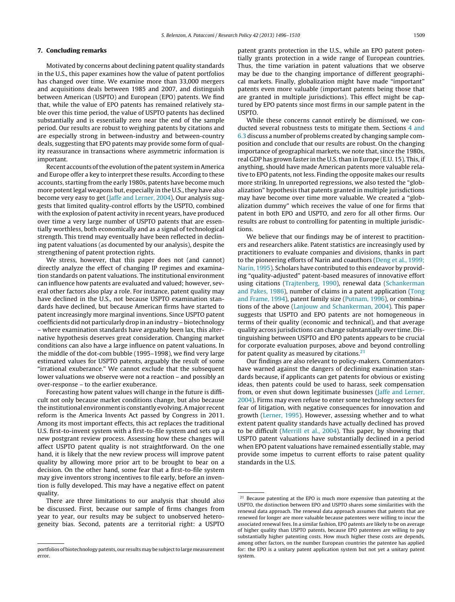## **7. Concluding remarks**

Motivated by concerns about declining patent quality standards in the U.S., this paper examines how the value of patent portfolios has changed over time. We examine more than 33,000 mergers and acquisitions deals between 1985 and 2007, and distinguish between American (USPTO) and European (EPO) patents. We find that, while the value of EPO patents has remained relatively stable over this time period, the value of USPTO patents has declined substantially and is essentially zero near the end of the sample period. Our results are robust to weighing patents by citations and are especially strong in between-industry and between-country deals, suggesting that EPO patents may provide some form of quality reassurance in transactions where asymmetric information is important.

Recent accounts of the evolution of the patent system in America and Europe offer a key to interpret these results. According to these accounts, starting from the early 1980s, patents have become much more potent legal weapons but, especially in the U.S., they have also become very easy to get [\(Jaffe](#page-14-0) [and](#page-14-0) [Lerner,](#page-14-0) [2004\).](#page-14-0) Our analysis suggests that limited quality-control efforts by the USPTO, combined with the explosion of patent activity in recent years, have produced over time a very large number of USPTO patents that are essentially worthless, both economically and as a signal of technological strength. This trend may eventually have been reflected in declining patent valuations (as documented by our analysis), despite the strengthening of patent protection rights.

We stress, however, that this paper does not (and cannot) directly analyze the effect of changing IP regimes and examination standards on patent valuations. The institutional environment can influence how patents are evaluated and valued; however, several other factors also play a role. For instance, patent quality may have declined in the U.S., not because USPTO examination standards have declined, but because American firms have started to patent increasingly more marginal inventions. Since USPTO patent coefficients did not particularly drop in an industry – biotechnology – where examination standards have arguably been lax, this alternative hypothesis deserves great consideration. Changing market conditions can also have a large influence on patent valuations. In the middle of the dot-com bubble (1995–1998), we find very large estimated values for USPTO patents, arguably the result of some "irrational exuberance." We cannot exclude that the subsequent lower valuations we observe were not a reaction – and possibly an over-response – to the earlier exuberance.

Forecasting how patent values will change in the future is difficult not only because market conditions change, but also because the institutional environment is constantly evolving. A major recent reform is the America Invents Act passed by Congress in 2011. Among its most important effects, this act replaces the traditional U.S. first-to-invent system with a first-to-file system and sets up a new postgrant review process. Assessing how these changes will affect USPTO patent quality is not straightforward. On the one hand, it is likely that the new review process will improve patent quality by allowing more prior art to be brought to bear on a decision. On the other hand, some fear that a first-to-file system may give inventors strong incentives to file early, before an invention is fully developed. This may have a negative effect on patent quality.

There are three limitations to our analysis that should also be discussed. First, because our sample of firms changes from year to year, our results may be subject to unobserved heterogeneity bias. Second, patents are a territorial right: a USPTO patent grants protection in the U.S., while an EPO patent potentially grants protection in a wide range of European countries. Thus, the time variation in patent valuations that we observe may be due to the changing importance of different geographical markets. Finally, globalization might have made "important" patents even more valuable (important patents being those that are granted in multiple jurisdictions). This effect might be captured by EPO patents since most firms in our sample patent in the USPTO.

While these concerns cannot entirely be dismissed, we conducted several robustness tests to mitigate them. Sections [4](#page-3-0) [and](#page-3-0) [6.3](#page-3-0) discuss a number of problems created by changing sample composition and conclude that our results are robust. On the changing importance of geographical markets, we note that, since the 1980s, real GDP has grown faster in the U.S.than in Europe (E.U. 15). This, if anything, should have made American patents more valuable relative to EPO patents, not less. Finding the opposite makes our results more striking. In unreported regressions, we also tested the "globalization" hypothesis that patents granted in multiple jurisdictions may have become over time more valuable. We created a "globalization dummy" which receives the value of one for firms that patent in both EPO and USPTO, and zero for all other firms. Our results are robust to controlling for patenting in multiple jurisdictions.

We believe that our findings may be of interest to practitioners and researchers alike. Patent statistics are increasingly used by practitioners to evaluate companies and divisions, thanks in part to the pioneering efforts of Narin and coauthors [\(Deng](#page-14-0) et [al.,](#page-14-0) [1999;](#page-14-0) [Narin,](#page-14-0) [1995\).](#page-14-0) Scholars have contributed to this endeavor by providing "quality-adjusted" patent-based measures of innovative effort using citations [\(Trajtenberg,](#page-14-0) [1990\),](#page-14-0) renewal data ([Schankerman](#page-14-0) [and](#page-14-0) [Pakes,](#page-14-0) [1986\),](#page-14-0) number of claims in a patent application [\(Tong](#page-14-0) [and](#page-14-0) [Frame,](#page-14-0) [1994\),](#page-14-0) patent family size ([Putnam,](#page-14-0) [1996\),](#page-14-0) or combinations of the above ([Lanjouw](#page-14-0) [and](#page-14-0) [Schankerman,](#page-14-0) [2004\).](#page-14-0) This paper suggests that USPTO and EPO patents are not homogeneous in terms of their quality (economic and technical), and that average quality across jurisdictions can change substantially over time. Distinguishing between USPTO and EPO patents appears to be crucial for corporate evaluation purposes, above and beyond controlling for patent quality as measured by citations. $21$ 

Our findings are also relevant to policy-makers. Commentators have warned against the dangers of declining examination standards because, if applicants can get patents for obvious or existing ideas, then patents could be used to harass, seek compensation from, or even shut down legitimate businesses ([Jaffe](#page-14-0) [and](#page-14-0) [Lerner,](#page-14-0) [2004\).](#page-14-0) Firms may even refuse to enter some technology sectors for fear of litigation, with negative consequences for innovation and growth [\(Lerner,](#page-14-0) [1995\).](#page-14-0) However, assessing whether and to what extent patent quality standards have actually declined has proved to be difficult [\(Merrill](#page-14-0) et [al.,](#page-14-0) [2004\).](#page-14-0) This paper, by showing that USPTO patent valuations have substantially declined in a period when EPO patent valuations have remained essentially stable, may provide some impetus to current efforts to raise patent quality standards in the U.S.

portfolios of biotechnology patents, our results may be subject to large measurement error.

<sup>&</sup>lt;sup>21</sup> Because patenting at the EPO is much more expensive than patenting at the USPTO, the distinction between EPO and USPTO shares some similarities with the renewal data approach. The renewal data approach assumes that patents that are renewed for longer are more valuable because patentees were willing to incur the associated renewal fees. In a similar fashion, EPO patents are likely to be on average of higher quality than USPTO patents, because EPO patentees are willing to pay substantially higher patenting costs. How much higher these costs are depends, among other factors, on the number European countries the patentee has applied for: the EPO is a unitary patent application system but not yet a unitary patent system.